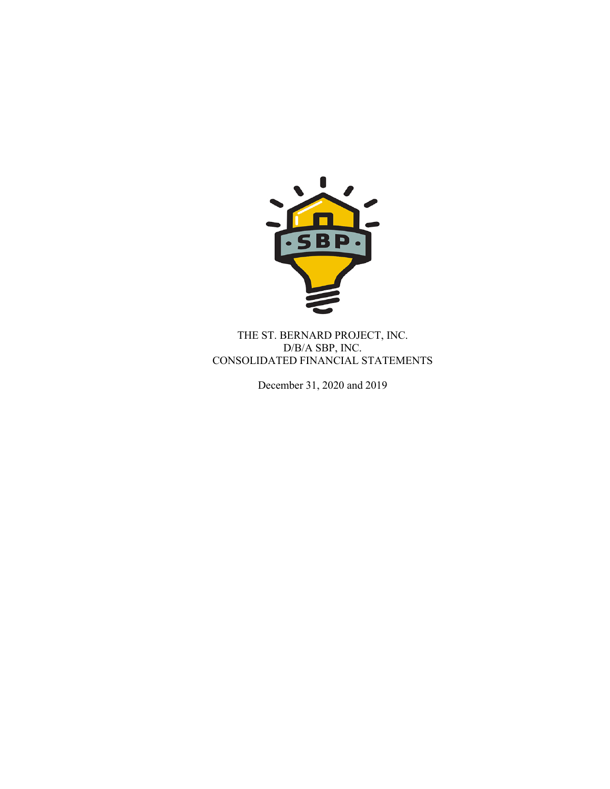

THE ST. BERNARD PROJECT, INC. D/B/A SBP, INC. CONSOLIDATED FINANCIAL STATEMENTS

December 31, 2020 and 2019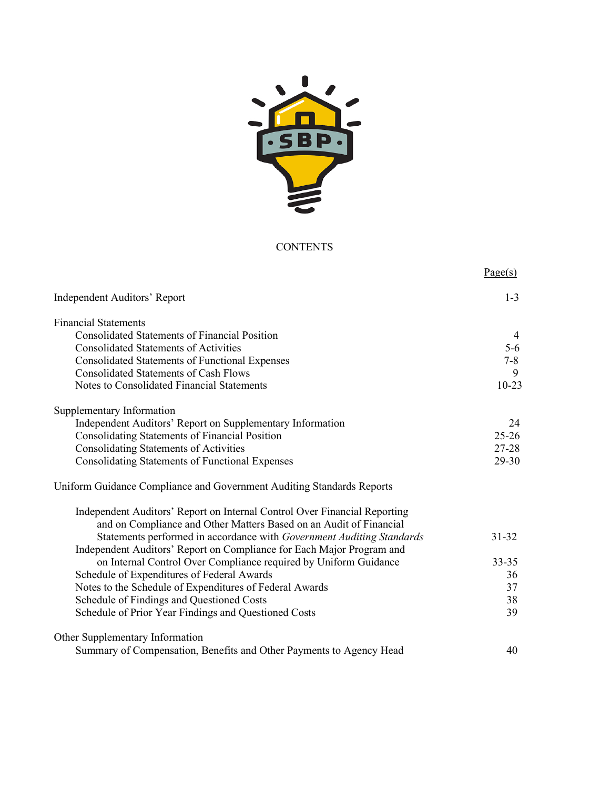

**CONTENTS** 

|                                                                           | Page(s)        |
|---------------------------------------------------------------------------|----------------|
| Independent Auditors' Report                                              | $1 - 3$        |
| <b>Financial Statements</b>                                               |                |
| <b>Consolidated Statements of Financial Position</b>                      | $\overline{4}$ |
| <b>Consolidated Statements of Activities</b>                              | $5-6$          |
| <b>Consolidated Statements of Functional Expenses</b>                     | $7 - 8$        |
| <b>Consolidated Statements of Cash Flows</b>                              | 9              |
| Notes to Consolidated Financial Statements                                | $10 - 23$      |
| Supplementary Information                                                 |                |
| Independent Auditors' Report on Supplementary Information                 | 24             |
| Consolidating Statements of Financial Position                            | $25 - 26$      |
| <b>Consolidating Statements of Activities</b>                             | $27 - 28$      |
| <b>Consolidating Statements of Functional Expenses</b>                    | 29-30          |
| Uniform Guidance Compliance and Government Auditing Standards Reports     |                |
| Independent Auditors' Report on Internal Control Over Financial Reporting |                |
| and on Compliance and Other Matters Based on an Audit of Financial        |                |
| Statements performed in accordance with Government Auditing Standards     | $31 - 32$      |
| Independent Auditors' Report on Compliance for Each Major Program and     |                |
| on Internal Control Over Compliance required by Uniform Guidance          | $33 - 35$      |
| Schedule of Expenditures of Federal Awards                                | 36             |
| Notes to the Schedule of Expenditures of Federal Awards                   | 37             |
| Schedule of Findings and Questioned Costs                                 | 38             |
| Schedule of Prior Year Findings and Questioned Costs                      | 39             |
| Other Supplementary Information                                           |                |
| Summary of Compensation, Benefits and Other Payments to Agency Head       | 40             |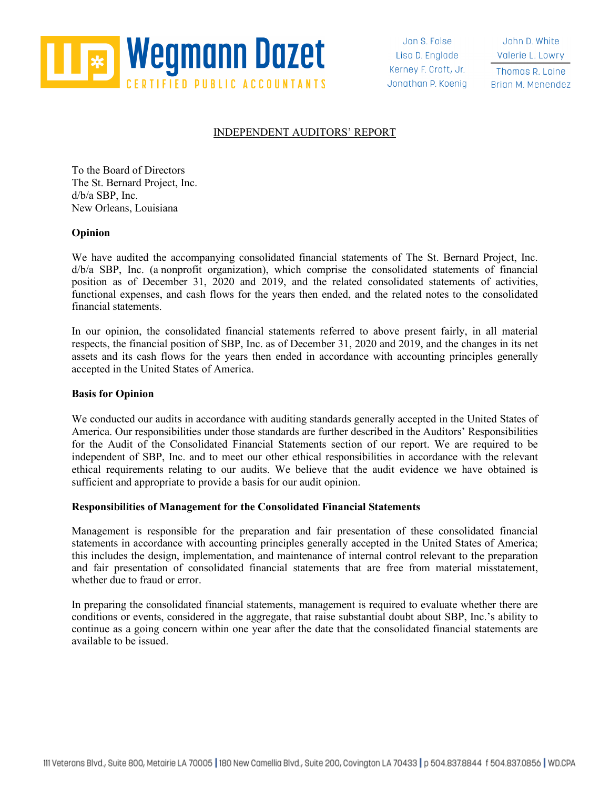

Jon S. Folse Lisa D. Englade Kerney F. Craft, Jr. Jonathan P. Koenig

John D. White Valerie L. Lowry Thomas R. Laine Brian M. Menendez

# INDEPENDENT AUDITORS' REPORT

To the Board of Directors The St. Bernard Project, Inc. d/b/a SBP, Inc. New Orleans, Louisiana

# **Opinion**

We have audited the accompanying consolidated financial statements of The St. Bernard Project, Inc. d/b/a SBP, Inc. (a nonprofit organization), which comprise the consolidated statements of financial position as of December 31, 2020 and 2019, and the related consolidated statements of activities, functional expenses, and cash flows for the years then ended, and the related notes to the consolidated financial statements.

In our opinion, the consolidated financial statements referred to above present fairly, in all material respects, the financial position of SBP, Inc. as of December 31, 2020 and 2019, and the changes in its net assets and its cash flows for the years then ended in accordance with accounting principles generally accepted in the United States of America.

# **Basis for Opinion**

We conducted our audits in accordance with auditing standards generally accepted in the United States of America. Our responsibilities under those standards are further described in the Auditors' Responsibilities for the Audit of the Consolidated Financial Statements section of our report. We are required to be independent of SBP, Inc. and to meet our other ethical responsibilities in accordance with the relevant ethical requirements relating to our audits. We believe that the audit evidence we have obtained is sufficient and appropriate to provide a basis for our audit opinion.

#### **Responsibilities of Management for the Consolidated Financial Statements**

Management is responsible for the preparation and fair presentation of these consolidated financial statements in accordance with accounting principles generally accepted in the United States of America; this includes the design, implementation, and maintenance of internal control relevant to the preparation and fair presentation of consolidated financial statements that are free from material misstatement, whether due to fraud or error.

In preparing the consolidated financial statements, management is required to evaluate whether there are conditions or events, considered in the aggregate, that raise substantial doubt about SBP, Inc.'s ability to continue as a going concern within one year after the date that the consolidated financial statements are available to be issued.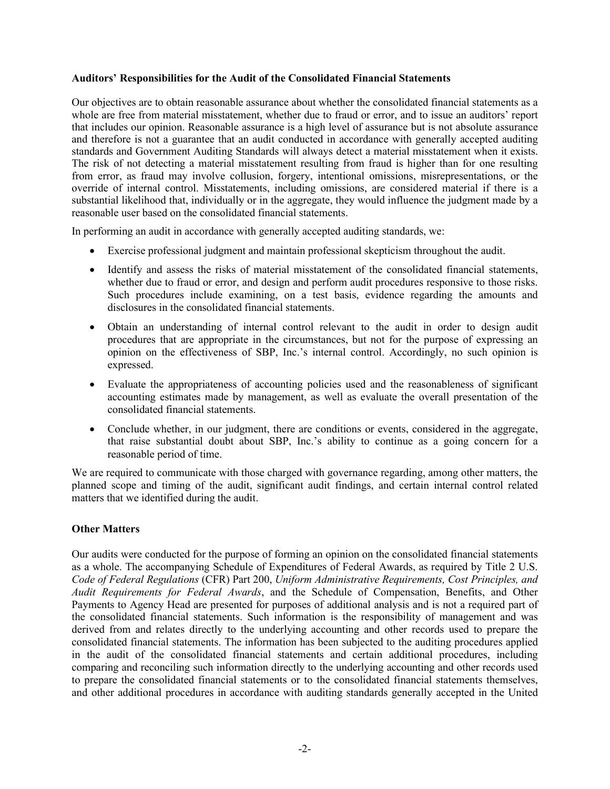# **Auditors' Responsibilities for the Audit of the Consolidated Financial Statements**

Our objectives are to obtain reasonable assurance about whether the consolidated financial statements as a whole are free from material misstatement, whether due to fraud or error, and to issue an auditors' report that includes our opinion. Reasonable assurance is a high level of assurance but is not absolute assurance and therefore is not a guarantee that an audit conducted in accordance with generally accepted auditing standards and Government Auditing Standards will always detect a material misstatement when it exists. The risk of not detecting a material misstatement resulting from fraud is higher than for one resulting from error, as fraud may involve collusion, forgery, intentional omissions, misrepresentations, or the override of internal control. Misstatements, including omissions, are considered material if there is a substantial likelihood that, individually or in the aggregate, they would influence the judgment made by a reasonable user based on the consolidated financial statements.

In performing an audit in accordance with generally accepted auditing standards, we:

- Exercise professional judgment and maintain professional skepticism throughout the audit.
- Identify and assess the risks of material misstatement of the consolidated financial statements, whether due to fraud or error, and design and perform audit procedures responsive to those risks. Such procedures include examining, on a test basis, evidence regarding the amounts and disclosures in the consolidated financial statements.
- Obtain an understanding of internal control relevant to the audit in order to design audit procedures that are appropriate in the circumstances, but not for the purpose of expressing an opinion on the effectiveness of SBP, Inc.'s internal control. Accordingly, no such opinion is expressed.
- Evaluate the appropriateness of accounting policies used and the reasonableness of significant accounting estimates made by management, as well as evaluate the overall presentation of the consolidated financial statements.
- Conclude whether, in our judgment, there are conditions or events, considered in the aggregate, that raise substantial doubt about SBP, Inc.'s ability to continue as a going concern for a reasonable period of time.

We are required to communicate with those charged with governance regarding, among other matters, the planned scope and timing of the audit, significant audit findings, and certain internal control related matters that we identified during the audit.

# **Other Matters**

Our audits were conducted for the purpose of forming an opinion on the consolidated financial statements as a whole. The accompanying Schedule of Expenditures of Federal Awards, as required by Title 2 U.S. *Code of Federal Regulations* (CFR) Part 200, *Uniform Administrative Requirements, Cost Principles, and Audit Requirements for Federal Awards*, and the Schedule of Compensation, Benefits, and Other Payments to Agency Head are presented for purposes of additional analysis and is not a required part of the consolidated financial statements. Such information is the responsibility of management and was derived from and relates directly to the underlying accounting and other records used to prepare the consolidated financial statements. The information has been subjected to the auditing procedures applied in the audit of the consolidated financial statements and certain additional procedures, including comparing and reconciling such information directly to the underlying accounting and other records used to prepare the consolidated financial statements or to the consolidated financial statements themselves, and other additional procedures in accordance with auditing standards generally accepted in the United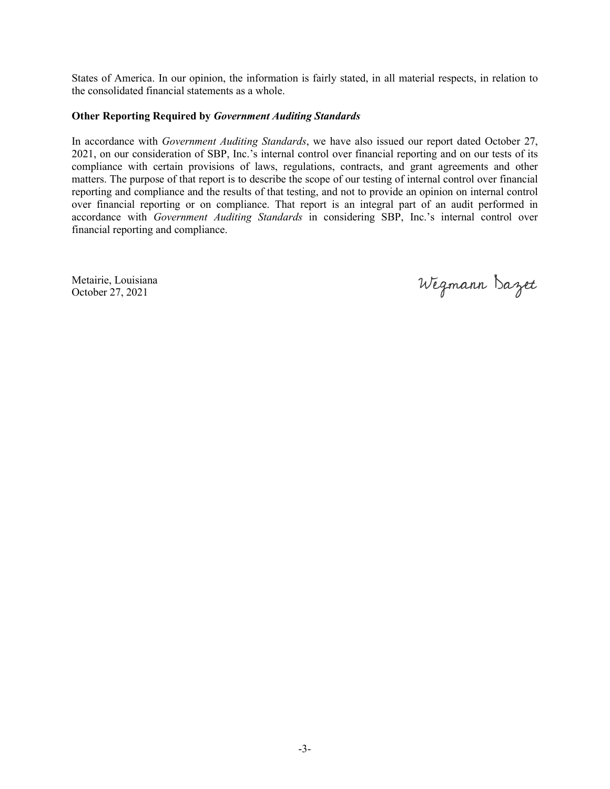States of America. In our opinion, the information is fairly stated, in all material respects, in relation to the consolidated financial statements as a whole.

# **Other Reporting Required by** *Government Auditing Standards*

In accordance with *Government Auditing Standards*, we have also issued our report dated October 27, 2021, on our consideration of SBP, Inc.'s internal control over financial reporting and on our tests of its compliance with certain provisions of laws, regulations, contracts, and grant agreements and other matters. The purpose of that report is to describe the scope of our testing of internal control over financial reporting and compliance and the results of that testing, and not to provide an opinion on internal control over financial reporting or on compliance. That report is an integral part of an audit performed in accordance with *Government Auditing Standards* in considering SBP, Inc.'s internal control over financial reporting and compliance.

Metairie, Louisiana October 27, 2021

Wegmann Bazet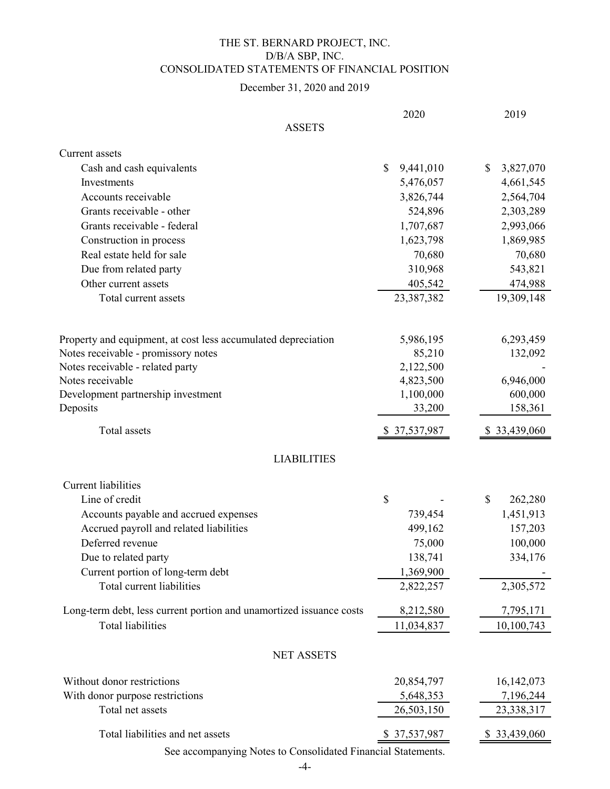# THE ST. BERNARD PROJECT, INC. CONSOLIDATED STATEMENTS OF FINANCIAL POSITION D/B/A SBP, INC.

# December 31, 2020 and 2019

|                                                                     | 2020                       | 2019            |
|---------------------------------------------------------------------|----------------------------|-----------------|
| <b>ASSETS</b>                                                       |                            |                 |
| Current assets                                                      |                            |                 |
| Cash and cash equivalents                                           | $\mathcal{S}$<br>9,441,010 | 3,827,070<br>\$ |
| Investments                                                         | 5,476,057                  | 4,661,545       |
| Accounts receivable                                                 | 3,826,744                  | 2,564,704       |
| Grants receivable - other                                           | 524,896                    | 2,303,289       |
| Grants receivable - federal                                         | 1,707,687                  | 2,993,066       |
| Construction in process                                             | 1,623,798                  | 1,869,985       |
| Real estate held for sale                                           | 70,680                     | 70,680          |
| Due from related party                                              | 310,968                    | 543,821         |
| Other current assets                                                | 405,542                    | 474,988         |
| Total current assets                                                | 23,387,382                 | 19,309,148      |
|                                                                     |                            |                 |
| Property and equipment, at cost less accumulated depreciation       | 5,986,195                  | 6,293,459       |
| Notes receivable - promissory notes                                 | 85,210                     | 132,092         |
| Notes receivable - related party                                    | 2,122,500                  |                 |
| Notes receivable                                                    | 4,823,500                  | 6,946,000       |
| Development partnership investment                                  | 1,100,000                  | 600,000         |
| Deposits                                                            | 33,200                     | 158,361         |
| Total assets                                                        | \$37,537,987               | \$33,439,060    |
| <b>LIABILITIES</b>                                                  |                            |                 |
| <b>Current liabilities</b>                                          |                            |                 |
| Line of credit                                                      | \$                         | \$<br>262,280   |
| Accounts payable and accrued expenses                               | 739,454                    | 1,451,913       |
| Accrued payroll and related liabilities                             | 499,162                    | 157,203         |
| Deferred revenue                                                    | 75,000                     | 100,000         |
| Due to related party                                                | 138,741                    | 334,176         |
| Current portion of long-term debt                                   | 1,369,900                  |                 |
| Total current liabilities                                           | 2,822,257                  | 2,305,572       |
|                                                                     |                            |                 |
| Long-term debt, less current portion and unamortized issuance costs | 8,212,580                  | 7,795,171       |
| <b>Total liabilities</b>                                            | 11,034,837                 | 10,100,743      |
| <b>NET ASSETS</b>                                                   |                            |                 |
| Without donor restrictions                                          | 20,854,797                 | 16,142,073      |
| With donor purpose restrictions                                     | 5,648,353                  | 7,196,244       |
| Total net assets                                                    | 26,503,150                 | 23,338,317      |
| Total liabilities and net assets                                    | 37,537,987                 | \$ 33,439,060   |
| See accompanying Notes to Consolidated Financial Statements.        |                            |                 |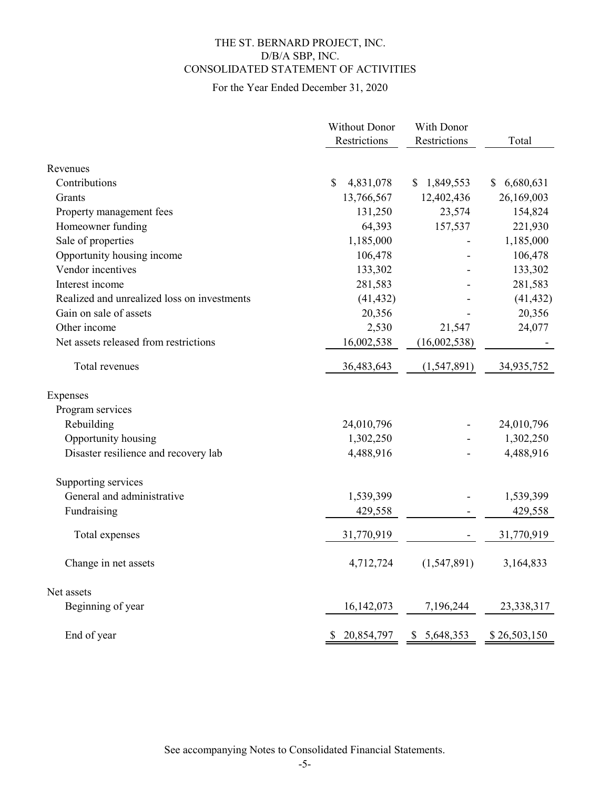# THE ST. BERNARD PROJECT, INC. CONSOLIDATED STATEMENT OF ACTIVITIES D/B/A SBP, INC.

For the Year Ended December 31, 2020

|                                             | <b>Without Donor</b><br>Restrictions | With Donor<br>Restrictions | Total                     |
|---------------------------------------------|--------------------------------------|----------------------------|---------------------------|
| Revenues                                    |                                      |                            |                           |
| Contributions                               | \$<br>4,831,078                      | 1,849,553<br>\$            | 6,680,631<br>$\mathbb{S}$ |
| Grants                                      | 13,766,567                           | 12,402,436                 | 26,169,003                |
| Property management fees                    | 131,250                              | 23,574                     | 154,824                   |
| Homeowner funding                           | 64,393                               | 157,537                    | 221,930                   |
| Sale of properties                          | 1,185,000                            |                            | 1,185,000                 |
| Opportunity housing income                  | 106,478                              |                            | 106,478                   |
| Vendor incentives                           | 133,302                              |                            | 133,302                   |
| Interest income                             | 281,583                              |                            | 281,583                   |
| Realized and unrealized loss on investments | (41, 432)                            |                            | (41, 432)                 |
| Gain on sale of assets                      | 20,356                               |                            | 20,356                    |
| Other income                                | 2,530                                | 21,547                     | 24,077                    |
| Net assets released from restrictions       | 16,002,538                           | (16,002,538)               |                           |
| Total revenues                              | 36,483,643                           | (1,547,891)                | 34,935,752                |
| Expenses                                    |                                      |                            |                           |
| Program services                            |                                      |                            |                           |
| Rebuilding                                  | 24,010,796                           |                            | 24,010,796                |
| Opportunity housing                         | 1,302,250                            |                            | 1,302,250                 |
| Disaster resilience and recovery lab        | 4,488,916                            |                            | 4,488,916                 |
| Supporting services                         |                                      |                            |                           |
| General and administrative                  | 1,539,399                            |                            | 1,539,399                 |
| Fundraising                                 | 429,558                              |                            | 429,558                   |
| Total expenses                              | 31,770,919                           |                            | 31,770,919                |
| Change in net assets                        | 4,712,724                            | (1,547,891)                | 3,164,833                 |
| Net assets                                  |                                      |                            |                           |
| Beginning of year                           | 16,142,073                           | 7,196,244                  | 23,338,317                |
| End of year                                 | $$20,854,797$ $$5,648,353$           |                            | \$26,503,150              |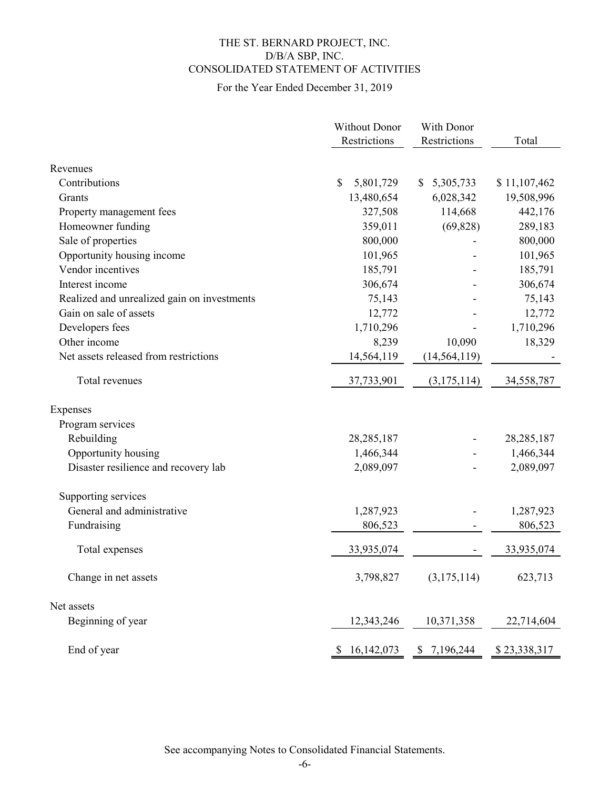# THE ST. BERNARD PROJECT, INC. CONSOLIDATED STATEMENT OF ACTIVITIES D/B/A SBP, INC.

For the Year Ended December 31, 2019

|                                             | <b>Without Donor</b>          | With Donor      |              |
|---------------------------------------------|-------------------------------|-----------------|--------------|
|                                             | Restrictions                  | Restrictions    | Total        |
|                                             |                               |                 |              |
| Revenues                                    |                               |                 |              |
| Contributions                               | \$<br>5,801,729               | 5,305,733<br>\$ | \$11,107,462 |
| Grants                                      | 13,480,654                    | 6,028,342       | 19,508,996   |
| Property management fees                    | 327,508                       | 114,668         | 442,176      |
| Homeowner funding                           | 359,011                       | (69, 828)       | 289,183      |
| Sale of properties                          | 800,000                       |                 | 800,000      |
| Opportunity housing income                  | 101,965                       |                 | 101,965      |
| Vendor incentives                           | 185,791                       |                 | 185,791      |
| Interest income                             | 306,674                       |                 | 306,674      |
| Realized and unrealized gain on investments | 75,143                        |                 | 75,143       |
| Gain on sale of assets                      | 12,772                        |                 | 12,772       |
| Developers fees                             | 1,710,296                     |                 | 1,710,296    |
| Other income                                | 8,239                         | 10,090          | 18,329       |
| Net assets released from restrictions       | 14,564,119                    | (14, 564, 119)  |              |
| Total revenues                              | 37,733,901                    | (3,175,114)     | 34,558,787   |
| Expenses                                    |                               |                 |              |
| Program services                            |                               |                 |              |
| Rebuilding                                  | 28, 285, 187                  |                 | 28, 285, 187 |
| Opportunity housing                         | 1,466,344                     |                 | 1,466,344    |
| Disaster resilience and recovery lab        | 2,089,097                     |                 | 2,089,097    |
| Supporting services                         |                               |                 |              |
| General and administrative                  | 1,287,923                     |                 | 1,287,923    |
| Fundraising                                 | 806,523                       |                 | 806,523      |
| Total expenses                              | 33,935,074                    |                 | 33,935,074   |
| Change in net assets                        | 3,798,827                     | (3,175,114)     | 623,713      |
| Net assets                                  |                               |                 |              |
| Beginning of year                           | 12,343,246                    | 10,371,358      | 22,714,604   |
| End of year                                 | 16, 142, 073<br>$\mathcal{P}$ | \$7,196,244     | \$23,338,317 |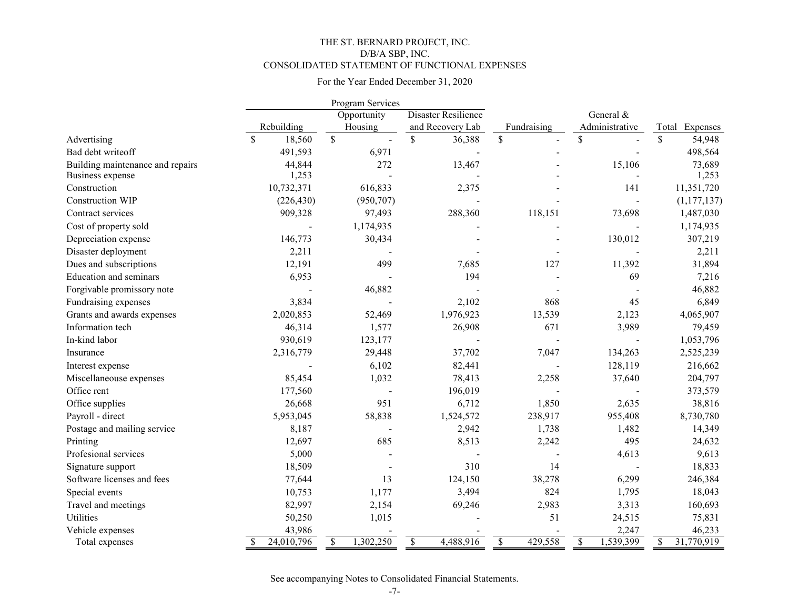# THE ST. BERNARD PROJECT, INC. D/B/A SBP, INC. CONSOLIDATED STATEMENT OF FUNCTIONAL EXPENSES

# For the Year Ended December 31, 2020

|                                  |                         | Program Services |                        |                          |                            |                        |
|----------------------------------|-------------------------|------------------|------------------------|--------------------------|----------------------------|------------------------|
|                                  |                         | Opportunity      | Disaster Resilience    |                          | General &                  |                        |
|                                  | Rebuilding              | Housing          | and Recovery Lab       | Fundraising              | Administrative             | Total Expenses         |
| Advertising                      | $\mathcal{S}$<br>18,560 | $\mathbb{S}$     | $\mathbb{S}$<br>36,388 | $\mathbb{S}$             | \$                         | $\mathbf{s}$<br>54,948 |
| Bad debt writeoff                | 491,593                 | 6,971            |                        |                          |                            | 498,564                |
| Building maintenance and repairs | 44,844                  | 272              | 13,467                 |                          | 15,106                     | 73,689                 |
| Business expense                 | 1,253                   |                  |                        |                          |                            | 1,253                  |
| Construction                     | 10,732,371              | 616,833          | 2,375                  |                          | 141                        | 11,351,720             |
| <b>Construction WIP</b>          | (226, 430)              | (950, 707)       |                        |                          |                            | (1, 177, 137)          |
| Contract services                | 909,328                 | 97,493           | 288,360                | 118,151                  | 73,698                     | 1,487,030              |
| Cost of property sold            |                         | 1,174,935        |                        |                          |                            | 1,174,935              |
| Depreciation expense             | 146,773                 | 30,434           |                        |                          | 130,012                    | 307,219                |
| Disaster deployment              | 2,211                   |                  |                        |                          |                            | 2,211                  |
| Dues and subscriptions           | 12,191                  | 499              | 7,685                  | 127                      | 11,392                     | 31,894                 |
| Education and seminars           | 6,953                   |                  | 194                    |                          | 69                         | 7,216                  |
| Forgivable promissory note       |                         | 46,882           |                        |                          |                            | 46,882                 |
| Fundraising expenses             | 3,834                   |                  | 2,102                  | 868                      | 45                         | 6,849                  |
| Grants and awards expenses       | 2,020,853               | 52,469           | 1,976,923              | 13,539                   | 2,123                      | 4,065,907              |
| Information tech                 | 46,314                  | 1,577            | 26,908                 | 671                      | 3,989                      | 79,459                 |
| In-kind labor                    | 930,619                 | 123,177          |                        |                          |                            | 1,053,796              |
| Insurance                        | 2,316,779               | 29,448           | 37,702                 | 7,047                    | 134,263                    | 2,525,239              |
| Interest expense                 |                         | 6,102            | 82,441                 |                          | 128,119                    | 216,662                |
| Miscellaneouse expenses          | 85,454                  | 1,032            | 78,413                 | 2,258                    | 37,640                     | 204,797                |
| Office rent                      | 177,560                 |                  | 196,019                |                          |                            | 373,579                |
| Office supplies                  | 26,668                  | 951              | 6,712                  | 1,850                    | 2,635                      | 38,816                 |
| Payroll - direct                 | 5,953,045               | 58,838           | 1,524,572              | 238,917                  | 955,408                    | 8,730,780              |
| Postage and mailing service      | 8,187                   |                  | 2,942                  | 1,738                    | 1,482                      | 14,349                 |
| Printing                         | 12,697                  | 685              | 8,513                  | 2,242                    | 495                        | 24,632                 |
| Profesional services             | 5,000                   |                  |                        |                          | 4,613                      | 9,613                  |
| Signature support                | 18,509                  |                  | 310                    | 14                       |                            | 18,833                 |
| Software licenses and fees       | 77,644                  | 13               | 124,150                | 38,278                   | 6,299                      | 246,384                |
| Special events                   | 10,753                  | 1,177            | 3,494                  | 824                      | 1,795                      | 18,043                 |
| Travel and meetings              | 82,997                  | 2,154            | 69,246                 | 2,983                    | 3,313                      | 160,693                |
| Utilities                        | 50,250                  | 1,015            |                        | 51                       | 24,515                     | 75,831                 |
| Vehicle expenses                 | 43,986                  |                  |                        |                          | 2,247                      | 46,233                 |
| Total expenses                   | 24,010,796              | 1,302,250<br>\$  | 4,488,916<br>\$        | $\mathcal{S}$<br>429,558 | $\mathcal{S}$<br>1,539,399 | 31,770,919<br>S        |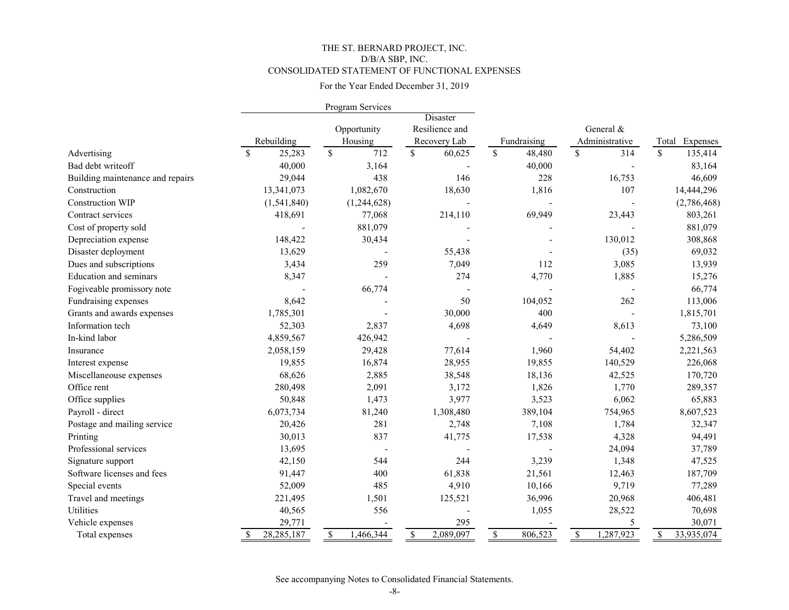# THE ST. BERNARD PROJECT, INC. CONSOLIDATED STATEMENT OF FUNCTIONAL EXPENSES D/B/A SBP, INC.

#### For the Year Ended December 31, 2019

|                                  |                        | Program Services  |                 |                 |                          |                         |
|----------------------------------|------------------------|-------------------|-----------------|-----------------|--------------------------|-------------------------|
|                                  |                        |                   | Disaster        |                 |                          |                         |
|                                  |                        | Opportunity       | Resilience and  |                 | General &                |                         |
|                                  | Rebuilding             | Housing           | Recovery Lab    | Fundraising     | Administrative           | Expenses<br>Total       |
| Advertising                      | $\mathbb{S}$<br>25,283 | \$<br>712         | \$<br>60,625    | \$<br>48,480    | \$<br>314                | $\mathbb{S}$<br>135,414 |
| Bad debt writeoff                | 40,000                 | 3,164             | $\overline{a}$  | 40,000          |                          | 83,164                  |
| Building maintenance and repairs | 29,044                 | 438               | 146             | 228             | 16,753                   | 46,609                  |
| Construction                     | 13,341,073             | 1,082,670         | 18,630          | 1,816           | 107                      | 14,444,296              |
| Construction WIP                 | (1,541,840)            | (1,244,628)       |                 |                 |                          | (2,786,468)             |
| Contract services                | 418,691                | 77,068            | 214,110         | 69,949          | 23,443                   | 803,261                 |
| Cost of property sold            |                        | 881,079           |                 |                 |                          | 881,079                 |
| Depreciation expense             | 148,422                | 30,434            |                 |                 | 130,012                  | 308,868                 |
| Disaster deployment              | 13,629                 |                   | 55,438          |                 | (35)                     | 69,032                  |
| Dues and subscriptions           | 3,434                  | 259               | 7,049           | 112             | 3,085                    | 13,939                  |
| Education and seminars           | 8,347                  |                   | 274             | 4,770           | 1,885                    | 15,276                  |
| Fogiveable promissory note       |                        | 66,774            |                 |                 |                          | 66,774                  |
| Fundraising expenses             | 8,642                  |                   | 50              | 104,052         | 262                      | 113,006                 |
| Grants and awards expenses       | 1,785,301              |                   | 30,000          | 400             |                          | 1,815,701               |
| Information tech                 | 52,303                 | 2,837             | 4,698           | 4,649           | 8,613                    | 73,100                  |
| In-kind labor                    | 4,859,567              | 426,942           |                 |                 |                          | 5,286,509               |
| Insurance                        | 2,058,159              | 29,428            | 77,614          | 1,960           | 54,402                   | 2,221,563               |
| Interest expense                 | 19,855                 | 16,874            | 28,955          | 19,855          | 140,529                  | 226,068                 |
| Miscellaneouse expenses          | 68,626                 | 2,885             | 38,548          | 18,136          | 42,525                   | 170,720                 |
| Office rent                      | 280,498                | 2,091             | 3,172           | 1,826           | 1,770                    | 289,357                 |
| Office supplies                  | 50,848                 | 1,473             | 3,977           | 3,523           | 6,062                    | 65,883                  |
| Payroll - direct                 | 6,073,734              | 81,240            | 1,308,480       | 389,104         | 754,965                  | 8,607,523               |
| Postage and mailing service      | 20,426                 | 281               | 2,748           | 7,108           | 1,784                    | 32,347                  |
| Printing                         | 30,013                 | 837               | 41,775          | 17,538          | 4,328                    | 94,491                  |
| Professional services            | 13,695                 |                   |                 |                 | 24,094                   | 37,789                  |
| Signature support                | 42,150                 | 544               | 244             | 3,239           | 1,348                    | 47,525                  |
| Software licenses and fees       | 91,447                 | 400               | 61,838          | 21,561          | 12,463                   | 187,709                 |
| Special events                   | 52,009                 | 485               | 4,910           | 10,166          | 9,719                    | 77,289                  |
| Travel and meetings              | 221,495                | 1,501             | 125,521         | 36,996          | 20,968                   | 406,481                 |
| Utilities                        | 40,565                 | 556               |                 | 1,055           | 28,522                   | 70,698                  |
| Vehicle expenses                 | 29,771                 |                   | 295             |                 | 5                        | 30,071                  |
| Total expenses                   | 28, 285, 187           | $\$$<br>1,466,344 | \$<br>2,089,097 | 806,523<br>$\$$ | $\mathbb S$<br>1,287,923 | 33,935,074<br>\$        |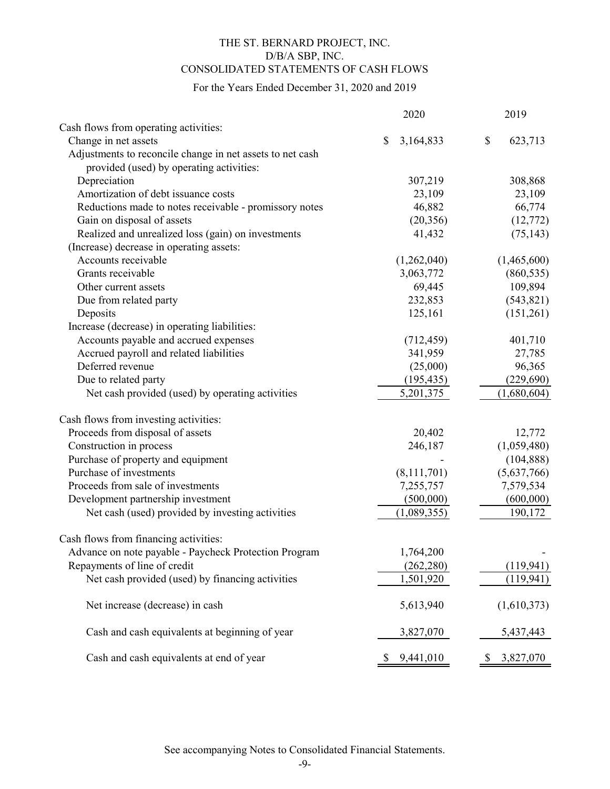# THE ST. BERNARD PROJECT, INC. CONSOLIDATED STATEMENTS OF CASH FLOWS D/B/A SBP, INC.

# For the Years Ended December 31, 2020 and 2019

|                                                           |    | 2020          |    | 2019        |
|-----------------------------------------------------------|----|---------------|----|-------------|
| Cash flows from operating activities:                     |    |               |    |             |
| Change in net assets                                      | \$ | 3,164,833     | \$ | 623,713     |
| Adjustments to reconcile change in net assets to net cash |    |               |    |             |
| provided (used) by operating activities:                  |    |               |    |             |
| Depreciation                                              |    | 307,219       |    | 308,868     |
| Amortization of debt issuance costs                       |    | 23,109        |    | 23,109      |
| Reductions made to notes receivable - promissory notes    |    | 46,882        |    | 66,774      |
| Gain on disposal of assets                                |    | (20, 356)     |    | (12, 772)   |
| Realized and unrealized loss (gain) on investments        |    | 41,432        |    | (75, 143)   |
| (Increase) decrease in operating assets:                  |    |               |    |             |
| Accounts receivable                                       |    | (1,262,040)   |    | (1,465,600) |
| Grants receivable                                         |    | 3,063,772     |    | (860, 535)  |
| Other current assets                                      |    | 69,445        |    | 109,894     |
| Due from related party                                    |    | 232,853       |    | (543, 821)  |
| Deposits                                                  |    | 125,161       |    | (151,261)   |
| Increase (decrease) in operating liabilities:             |    |               |    |             |
| Accounts payable and accrued expenses                     |    | (712, 459)    |    | 401,710     |
| Accrued payroll and related liabilities                   |    | 341,959       |    | 27,785      |
| Deferred revenue                                          |    | (25,000)      |    | 96,365      |
| Due to related party                                      |    | (195, 435)    |    | (229, 690)  |
| Net cash provided (used) by operating activities          |    | 5,201,375     |    | (1,680,604) |
| Cash flows from investing activities:                     |    |               |    |             |
| Proceeds from disposal of assets                          |    | 20,402        |    | 12,772      |
| Construction in process                                   |    | 246,187       |    | (1,059,480) |
| Purchase of property and equipment                        |    |               |    | (104, 888)  |
| Purchase of investments                                   |    | (8, 111, 701) |    | (5,637,766) |
| Proceeds from sale of investments                         |    | 7,255,757     |    | 7,579,534   |
| Development partnership investment                        |    | (500,000)     |    | (600,000)   |
| Net cash (used) provided by investing activities          |    | (1,089,355)   |    | 190,172     |
| Cash flows from financing activities:                     |    |               |    |             |
| Advance on note payable - Paycheck Protection Program     |    | 1,764,200     |    |             |
| Repayments of line of credit                              |    | (262, 280)    |    | (119, 941)  |
| Net cash provided (used) by financing activities          |    | 1,501,920     |    | (119, 941)  |
| Net increase (decrease) in cash                           |    | 5,613,940     |    | (1,610,373) |
| Cash and cash equivalents at beginning of year            |    | 3,827,070     |    | 5,437,443   |
| Cash and cash equivalents at end of year                  | S. | 9,441,010     | Ÿ. | 3,827,070   |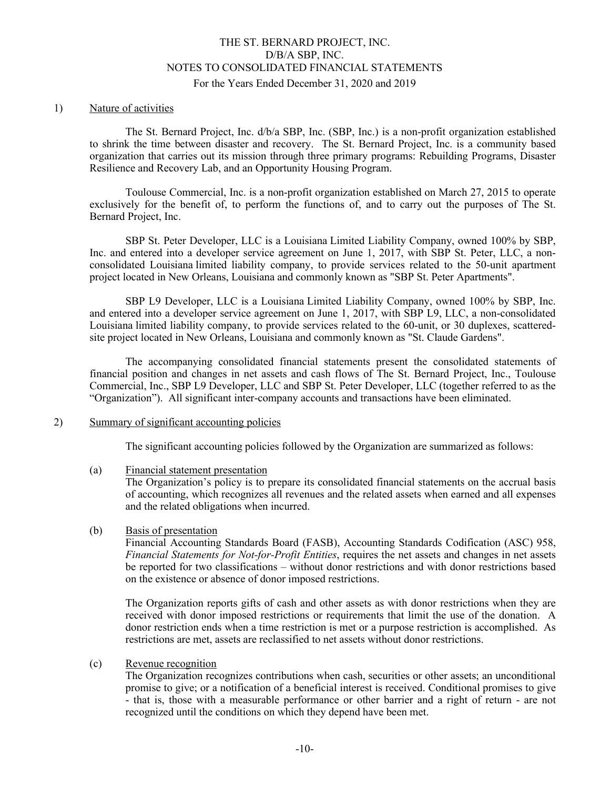# THE ST. BERNARD PROJECT, INC. D/B/A SBP, INC. NOTES TO CONSOLIDATED FINANCIAL STATEMENTS

# For the Years Ended December 31, 2020 and 2019

#### 1) Nature of activities

The St. Bernard Project, Inc. d/b/a SBP, Inc. (SBP, Inc.) is a non-profit organization established to shrink the time between disaster and recovery. The St. Bernard Project, Inc. is a community based organization that carries out its mission through three primary programs: Rebuilding Programs, Disaster Resilience and Recovery Lab, and an Opportunity Housing Program.

Toulouse Commercial, Inc. is a non-profit organization established on March 27, 2015 to operate exclusively for the benefit of, to perform the functions of, and to carry out the purposes of The St. Bernard Project, Inc.

SBP St. Peter Developer, LLC is a Louisiana Limited Liability Company, owned 100% by SBP, Inc. and entered into a developer service agreement on June 1, 2017, with SBP St. Peter, LLC, a nonconsolidated Louisiana limited liability company, to provide services related to the 50-unit apartment project located in New Orleans, Louisiana and commonly known as "SBP St. Peter Apartments".

SBP L9 Developer, LLC is a Louisiana Limited Liability Company, owned 100% by SBP, Inc. and entered into a developer service agreement on June 1, 2017, with SBP L9, LLC, a non-consolidated Louisiana limited liability company, to provide services related to the 60-unit, or 30 duplexes, scatteredsite project located in New Orleans, Louisiana and commonly known as "St. Claude Gardens".

The accompanying consolidated financial statements present the consolidated statements of financial position and changes in net assets and cash flows of The St. Bernard Project, Inc., Toulouse Commercial, Inc., SBP L9 Developer, LLC and SBP St. Peter Developer, LLC (together referred to as the "Organization"). All significant inter-company accounts and transactions have been eliminated.

# 2) Summary of significant accounting policies

The significant accounting policies followed by the Organization are summarized as follows:

#### (a) Financial statement presentation

The Organization's policy is to prepare its consolidated financial statements on the accrual basis of accounting, which recognizes all revenues and the related assets when earned and all expenses and the related obligations when incurred.

#### (b) Basis of presentation

Financial Accounting Standards Board (FASB), Accounting Standards Codification (ASC) 958, *Financial Statements for Not-for-Profit Entities*, requires the net assets and changes in net assets be reported for two classifications – without donor restrictions and with donor restrictions based on the existence or absence of donor imposed restrictions.

The Organization reports gifts of cash and other assets as with donor restrictions when they are received with donor imposed restrictions or requirements that limit the use of the donation. A donor restriction ends when a time restriction is met or a purpose restriction is accomplished. As restrictions are met, assets are reclassified to net assets without donor restrictions.

#### (c) Revenue recognition

The Organization recognizes contributions when cash, securities or other assets; an unconditional promise to give; or a notification of a beneficial interest is received. Conditional promises to give - that is, those with a measurable performance or other barrier and a right of return - are not recognized until the conditions on which they depend have been met.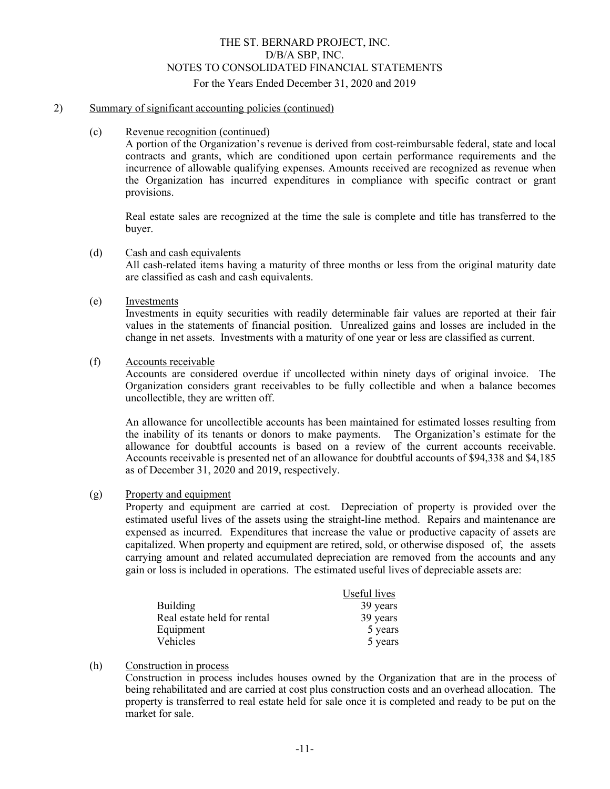# THE ST. BERNARD PROJECT, INC. D/B/A SBP, INC. NOTES TO CONSOLIDATED FINANCIAL STATEMENTS

#### For the Years Ended December 31, 2020 and 2019

#### 2) Summary of significant accounting policies (continued)

# (c) Revenue recognition (continued)

A portion of the Organization's revenue is derived from cost-reimbursable federal, state and local contracts and grants, which are conditioned upon certain performance requirements and the incurrence of allowable qualifying expenses. Amounts received are recognized as revenue when the Organization has incurred expenditures in compliance with specific contract or grant provisions.

Real estate sales are recognized at the time the sale is complete and title has transferred to the buyer.

#### (d) Cash and cash equivalents

All cash-related items having a maturity of three months or less from the original maturity date are classified as cash and cash equivalents.

# (e) Investments

Investments in equity securities with readily determinable fair values are reported at their fair values in the statements of financial position. Unrealized gains and losses are included in the change in net assets. Investments with a maturity of one year or less are classified as current.

# (f) Accounts receivable

Accounts are considered overdue if uncollected within ninety days of original invoice. The Organization considers grant receivables to be fully collectible and when a balance becomes uncollectible, they are written off.

An allowance for uncollectible accounts has been maintained for estimated losses resulting from the inability of its tenants or donors to make payments. The Organization's estimate for the allowance for doubtful accounts is based on a review of the current accounts receivable. Accounts receivable is presented net of an allowance for doubtful accounts of \$94,338 and \$4,185 as of December 31, 2020 and 2019, respectively.

## (g) Property and equipment

Property and equipment are carried at cost. Depreciation of property is provided over the estimated useful lives of the assets using the straight-line method. Repairs and maintenance are expensed as incurred. Expenditures that increase the value or productive capacity of assets are capitalized. When property and equipment are retired, sold, or otherwise disposed of, the assets carrying amount and related accumulated depreciation are removed from the accounts and any gain or loss is included in operations. The estimated useful lives of depreciable assets are:

|                             | Useful lives |
|-----------------------------|--------------|
| Building                    | 39 years     |
| Real estate held for rental | 39 years     |
| Equipment                   | 5 years      |
| Vehicles                    | 5 years      |

# (h) Construction in process

Construction in process includes houses owned by the Organization that are in the process of being rehabilitated and are carried at cost plus construction costs and an overhead allocation. The property is transferred to real estate held for sale once it is completed and ready to be put on the market for sale.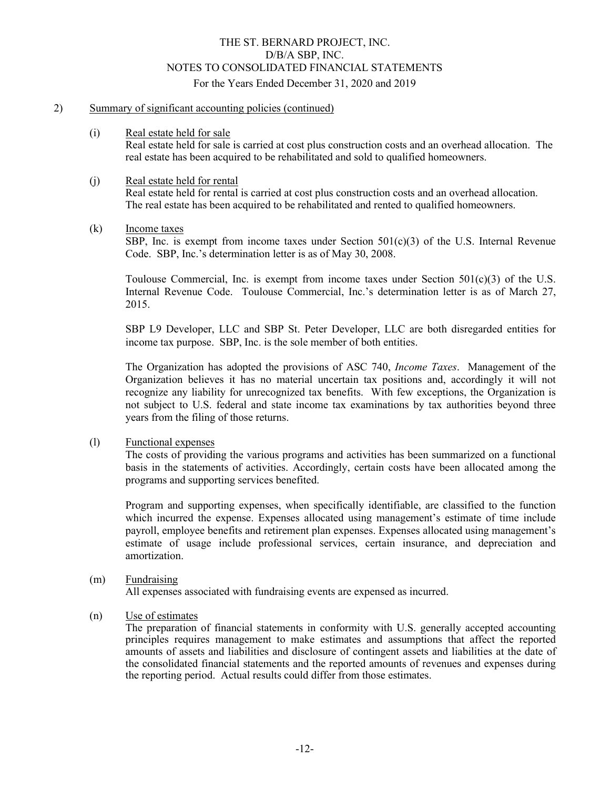#### 2) Summary of significant accounting policies (continued)

- (i) Real estate held for sale Real estate held for sale is carried at cost plus construction costs and an overhead allocation. The
- real estate has been acquired to be rehabilitated and sold to qualified homeowners. (j) Real estate held for rental

Real estate held for rental is carried at cost plus construction costs and an overhead allocation. The real estate has been acquired to be rehabilitated and rented to qualified homeowners.

# (k) Income taxes

SBP, Inc. is exempt from income taxes under Section  $501(c)(3)$  of the U.S. Internal Revenue Code. SBP, Inc.'s determination letter is as of May 30, 2008.

Toulouse Commercial, Inc. is exempt from income taxes under Section  $501(c)(3)$  of the U.S. Internal Revenue Code. Toulouse Commercial, Inc.'s determination letter is as of March 27, 2015.

SBP L9 Developer, LLC and SBP St. Peter Developer, LLC are both disregarded entities for income tax purpose. SBP, Inc. is the sole member of both entities.

The Organization has adopted the provisions of ASC 740, *Income Taxes*. Management of the Organization believes it has no material uncertain tax positions and, accordingly it will not recognize any liability for unrecognized tax benefits. With few exceptions, the Organization is not subject to U.S. federal and state income tax examinations by tax authorities beyond three years from the filing of those returns.

# (l) Functional expenses

The costs of providing the various programs and activities has been summarized on a functional basis in the statements of activities. Accordingly, certain costs have been allocated among the programs and supporting services benefited.

Program and supporting expenses, when specifically identifiable, are classified to the function which incurred the expense. Expenses allocated using management's estimate of time include payroll, employee benefits and retirement plan expenses. Expenses allocated using management's estimate of usage include professional services, certain insurance, and depreciation and amortization.

# (m) Fundraising

All expenses associated with fundraising events are expensed as incurred.

# (n) Use of estimates

The preparation of financial statements in conformity with U.S. generally accepted accounting principles requires management to make estimates and assumptions that affect the reported amounts of assets and liabilities and disclosure of contingent assets and liabilities at the date of the consolidated financial statements and the reported amounts of revenues and expenses during the reporting period. Actual results could differ from those estimates.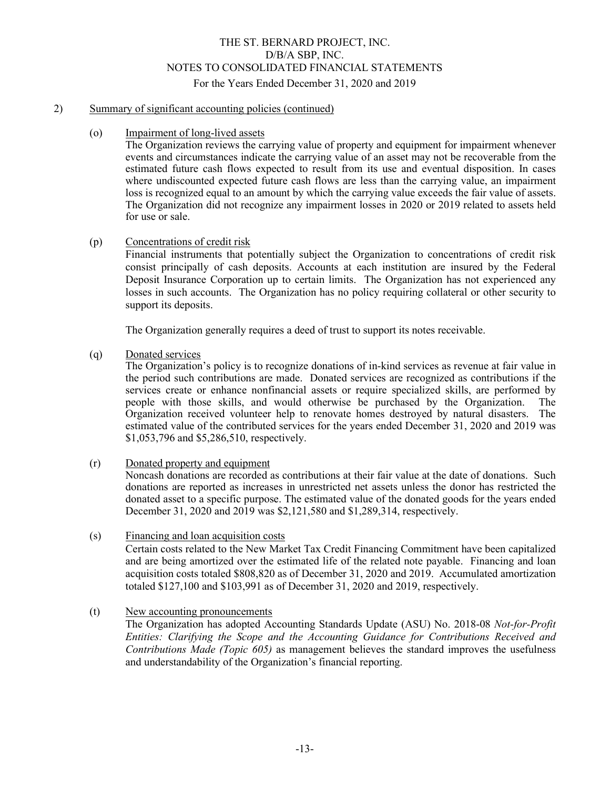# THE ST. BERNARD PROJECT, INC. D/B/A SBP, INC. NOTES TO CONSOLIDATED FINANCIAL STATEMENTS

# For the Years Ended December 31, 2020 and 2019

# 2) Summary of significant accounting policies (continued)

# (o) Impairment of long-lived assets

The Organization reviews the carrying value of property and equipment for impairment whenever events and circumstances indicate the carrying value of an asset may not be recoverable from the estimated future cash flows expected to result from its use and eventual disposition. In cases where undiscounted expected future cash flows are less than the carrying value, an impairment loss is recognized equal to an amount by which the carrying value exceeds the fair value of assets. The Organization did not recognize any impairment losses in 2020 or 2019 related to assets held for use or sale.

# (p) Concentrations of credit risk

Financial instruments that potentially subject the Organization to concentrations of credit risk consist principally of cash deposits. Accounts at each institution are insured by the Federal Deposit Insurance Corporation up to certain limits. The Organization has not experienced any losses in such accounts. The Organization has no policy requiring collateral or other security to support its deposits.

The Organization generally requires a deed of trust to support its notes receivable.

# (q) Donated services

The Organization's policy is to recognize donations of in-kind services as revenue at fair value in the period such contributions are made. Donated services are recognized as contributions if the services create or enhance nonfinancial assets or require specialized skills, are performed by people with those skills, and would otherwise be purchased by the Organization. The Organization received volunteer help to renovate homes destroyed by natural disasters. The estimated value of the contributed services for the years ended December 31, 2020 and 2019 was \$1,053,796 and \$5,286,510, respectively.

# (r) Donated property and equipment

Noncash donations are recorded as contributions at their fair value at the date of donations. Such donations are reported as increases in unrestricted net assets unless the donor has restricted the donated asset to a specific purpose. The estimated value of the donated goods for the years ended December 31, 2020 and 2019 was \$2,121,580 and \$1,289,314, respectively.

# (s) Financing and loan acquisition costs

Certain costs related to the New Market Tax Credit Financing Commitment have been capitalized and are being amortized over the estimated life of the related note payable. Financing and loan acquisition costs totaled \$808,820 as of December 31, 2020 and 2019. Accumulated amortization totaled \$127,100 and \$103,991 as of December 31, 2020 and 2019, respectively.

# (t) New accounting pronouncements

The Organization has adopted Accounting Standards Update (ASU) No. 2018-08 *Not-for-Profit Entities: Clarifying the Scope and the Accounting Guidance for Contributions Received and Contributions Made (Topic 605)* as management believes the standard improves the usefulness and understandability of the Organization's financial reporting.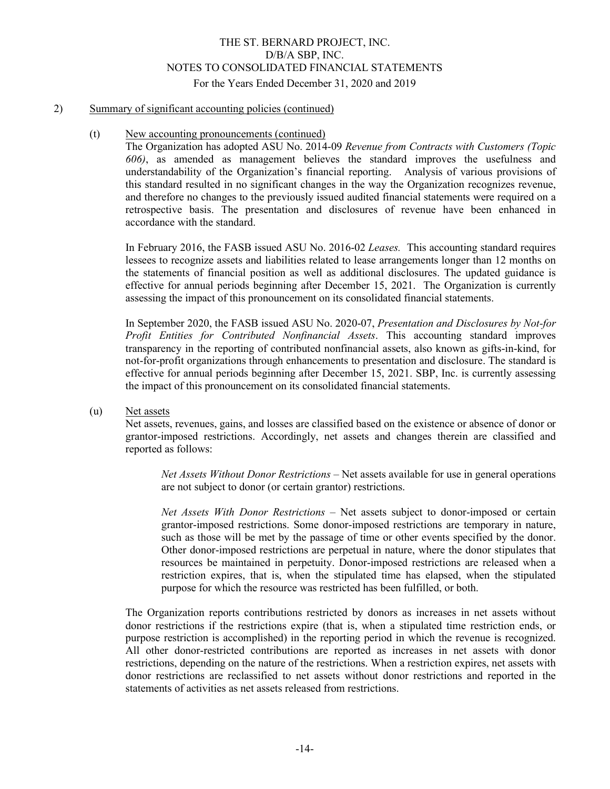# 2) Summary of significant accounting policies (continued)

#### (t) New accounting pronouncements (continued)

The Organization has adopted ASU No. 2014-09 *Revenue from Contracts with Customers (Topic 606)*, as amended as management believes the standard improves the usefulness and understandability of the Organization's financial reporting. Analysis of various provisions of this standard resulted in no significant changes in the way the Organization recognizes revenue, and therefore no changes to the previously issued audited financial statements were required on a retrospective basis. The presentation and disclosures of revenue have been enhanced in accordance with the standard.

In February 2016, the FASB issued ASU No. 2016-02 *Leases.* This accounting standard requires lessees to recognize assets and liabilities related to lease arrangements longer than 12 months on the statements of financial position as well as additional disclosures. The updated guidance is effective for annual periods beginning after December 15, 2021. The Organization is currently assessing the impact of this pronouncement on its consolidated financial statements.

In September 2020, the FASB issued ASU No. 2020-07, *Presentation and Disclosures by Not-for Profit Entities for Contributed Nonfinancial Assets*. This accounting standard improves transparency in the reporting of contributed nonfinancial assets, also known as gifts-in-kind, for not-for-profit organizations through enhancements to presentation and disclosure. The standard is effective for annual periods beginning after December 15, 2021. SBP, Inc. is currently assessing the impact of this pronouncement on its consolidated financial statements.

(u) Net assets

Net assets, revenues, gains, and losses are classified based on the existence or absence of donor or grantor-imposed restrictions. Accordingly, net assets and changes therein are classified and reported as follows:

*Net Assets Without Donor Restrictions –* Net assets available for use in general operations are not subject to donor (or certain grantor) restrictions.

*Net Assets With Donor Restrictions* – Net assets subject to donor-imposed or certain grantor-imposed restrictions. Some donor-imposed restrictions are temporary in nature, such as those will be met by the passage of time or other events specified by the donor. Other donor-imposed restrictions are perpetual in nature, where the donor stipulates that resources be maintained in perpetuity. Donor-imposed restrictions are released when a restriction expires, that is, when the stipulated time has elapsed, when the stipulated purpose for which the resource was restricted has been fulfilled, or both.

The Organization reports contributions restricted by donors as increases in net assets without donor restrictions if the restrictions expire (that is, when a stipulated time restriction ends, or purpose restriction is accomplished) in the reporting period in which the revenue is recognized. All other donor-restricted contributions are reported as increases in net assets with donor restrictions, depending on the nature of the restrictions. When a restriction expires, net assets with donor restrictions are reclassified to net assets without donor restrictions and reported in the statements of activities as net assets released from restrictions.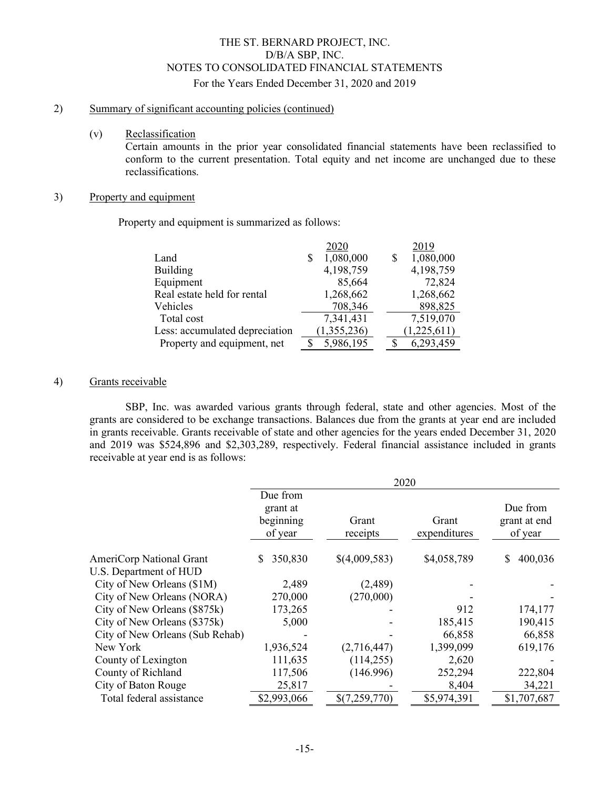#### 2) Summary of significant accounting policies (continued)

(v) Reclassification

Certain amounts in the prior year consolidated financial statements have been reclassified to conform to the current presentation. Total equity and net income are unchanged due to these reclassifications.

# 3) Property and equipment

Property and equipment is summarized as follows:

|                                | 2020           | 2019           |
|--------------------------------|----------------|----------------|
| Land                           | 1,080,000<br>S | 1,080,000<br>S |
| <b>Building</b>                | 4,198,759      | 4,198,759      |
| Equipment                      | 85,664         | 72,824         |
| Real estate held for rental    | 1,268,662      | 1,268,662      |
| Vehicles                       | 708,346        | 898,825        |
| Total cost                     | 7,341,431      | 7,519,070      |
| Less: accumulated depreciation | (1,355,236)    | (1,225,611)    |
| Property and equipment, net    | 5,986,195      | 6,293,459      |

# 4) Grants receivable

SBP, Inc. was awarded various grants through federal, state and other agencies. Most of the grants are considered to be exchange transactions. Balances due from the grants at year end are included in grants receivable. Grants receivable of state and other agencies for the years ended December 31, 2020 and 2019 was \$524,896 and \$2,303,289, respectively. Federal financial assistance included in grants receivable at year end is as follows:

|                                 | 2020                                         |                   |                       |                                     |  |  |
|---------------------------------|----------------------------------------------|-------------------|-----------------------|-------------------------------------|--|--|
|                                 | Due from<br>grant at<br>beginning<br>of year | Grant<br>receipts | Grant<br>expenditures | Due from<br>grant at end<br>of year |  |  |
| AmeriCorp National Grant        | 350,830<br>S.                                | \$(4,009,583)     | \$4,058,789           | \$<br>400,036                       |  |  |
| U.S. Department of HUD          |                                              |                   |                       |                                     |  |  |
| City of New Orleans (\$1M)      | 2,489                                        | (2,489)           |                       |                                     |  |  |
| City of New Orleans (NORA)      | 270,000                                      | (270,000)         |                       |                                     |  |  |
| City of New Orleans (\$875k)    | 173,265                                      |                   | 912                   | 174,177                             |  |  |
| City of New Orleans (\$375k)    | 5,000                                        |                   | 185,415               | 190,415                             |  |  |
| City of New Orleans (Sub Rehab) |                                              |                   | 66,858                | 66,858                              |  |  |
| New York                        | 1,936,524                                    | (2,716,447)       | 1,399,099             | 619,176                             |  |  |
| County of Lexington             | 111,635                                      | (114, 255)        | 2,620                 |                                     |  |  |
| County of Richland              | 117,506                                      | (146.996)         | 252,294               | 222,804                             |  |  |
| City of Baton Rouge             | 25,817                                       |                   | 8,404                 | 34,221                              |  |  |
| Total federal assistance        | \$2,993,066                                  | \$(7,259,770)     | \$5,974,391           | \$1,707,687                         |  |  |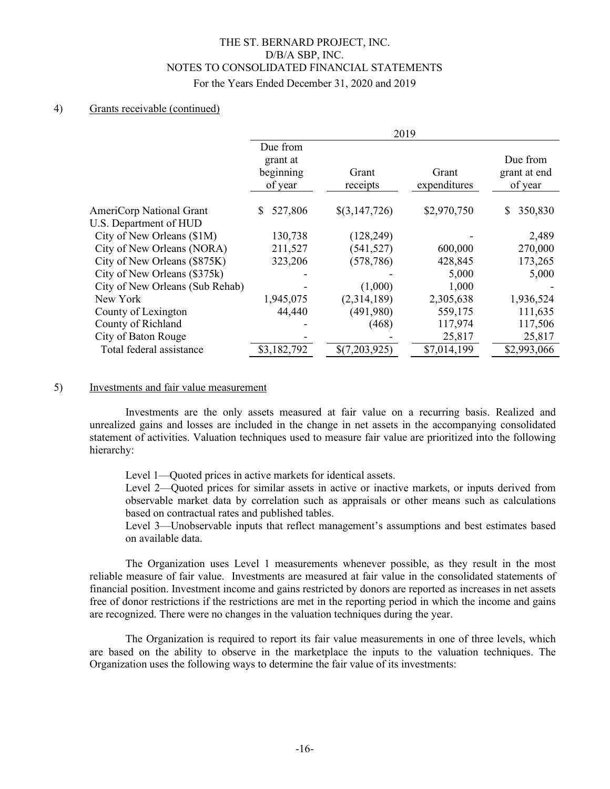# THE ST. BERNARD PROJECT, INC. D/B/A SBP, INC. NOTES TO CONSOLIDATED FINANCIAL STATEMENTS

# For the Years Ended December 31, 2020 and 2019

# 4) Grants receivable (continued)

|                                 | 2019                                         |                   |                       |                                     |  |
|---------------------------------|----------------------------------------------|-------------------|-----------------------|-------------------------------------|--|
|                                 | Due from<br>grant at<br>beginning<br>of year | Grant<br>receipts | Grant<br>expenditures | Due from<br>grant at end<br>of year |  |
| AmeriCorp National Grant        | 527,806<br>S.                                | \$(3,147,726)     | \$2,970,750           | 350,830<br>\$                       |  |
| U.S. Department of HUD          |                                              |                   |                       |                                     |  |
| City of New Orleans (\$1M)      | 130,738                                      | (128, 249)        |                       | 2,489                               |  |
| City of New Orleans (NORA)      | 211,527                                      | (541, 527)        | 600,000               | 270,000                             |  |
| City of New Orleans (\$875K)    | 323,206                                      | (578, 786)        | 428,845               | 173,265                             |  |
| City of New Orleans (\$375k)    |                                              |                   | 5,000                 | 5,000                               |  |
| City of New Orleans (Sub Rehab) |                                              | (1,000)           | 1,000                 |                                     |  |
| New York                        | 1,945,075                                    | (2,314,189)       | 2,305,638             | 1,936,524                           |  |
| County of Lexington             | 44,440                                       | (491, 980)        | 559,175               | 111,635                             |  |
| County of Richland              |                                              | (468)             | 117,974               | 117,506                             |  |
| City of Baton Rouge             |                                              |                   | 25,817                | 25,817                              |  |
| Total federal assistance        | \$3,182,792                                  | \$(7,203,925)     | \$7,014,199           | \$2,993,066                         |  |

#### 5) Investments and fair value measurement

Investments are the only assets measured at fair value on a recurring basis. Realized and unrealized gains and losses are included in the change in net assets in the accompanying consolidated statement of activities. Valuation techniques used to measure fair value are prioritized into the following hierarchy:

Level 1—Quoted prices in active markets for identical assets.

Level 2—Quoted prices for similar assets in active or inactive markets, or inputs derived from observable market data by correlation such as appraisals or other means such as calculations based on contractual rates and published tables.

Level 3—Unobservable inputs that reflect management's assumptions and best estimates based on available data.

The Organization uses Level 1 measurements whenever possible, as they result in the most reliable measure of fair value. Investments are measured at fair value in the consolidated statements of financial position. Investment income and gains restricted by donors are reported as increases in net assets free of donor restrictions if the restrictions are met in the reporting period in which the income and gains are recognized. There were no changes in the valuation techniques during the year.

The Organization is required to report its fair value measurements in one of three levels, which are based on the ability to observe in the marketplace the inputs to the valuation techniques. The Organization uses the following ways to determine the fair value of its investments: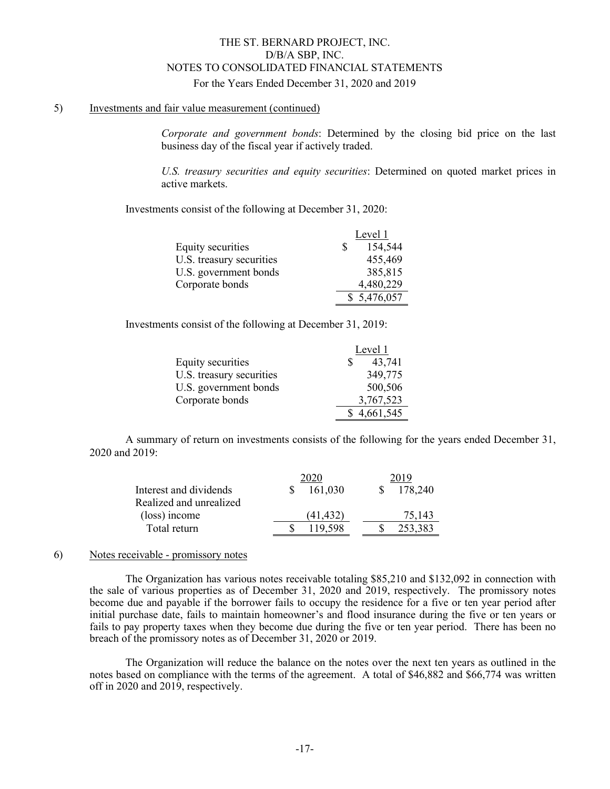#### 5) Investments and fair value measurement (continued)

*Corporate and government bonds*: Determined by the closing bid price on the last business day of the fiscal year if actively traded.

*U.S. treasury securities and equity securities*: Determined on quoted market prices in active markets.

Investments consist of the following at December 31, 2020:

|                          | Level 1      |
|--------------------------|--------------|
| Equity securities        | 154,544<br>S |
| U.S. treasury securities | 455,469      |
| U.S. government bonds    | 385,815      |
| Corporate bonds          | 4,480,229    |
|                          | \$5,476,057  |

Investments consist of the following at December 31, 2019:

|                          | Level 1      |
|--------------------------|--------------|
| <b>Equity securities</b> | 43,741<br>S. |
| U.S. treasury securities | 349,775      |
| U.S. government bonds    | 500,506      |
| Corporate bonds          | 3,767,523    |
|                          | 4,661,545    |

A summary of return on investments consists of the following for the years ended December 31, 2020 and 2019:

|                         | 2020     | 2019    |  |  |  |
|-------------------------|----------|---------|--|--|--|
| Interest and dividends  | 161,030  | 178,240 |  |  |  |
| Realized and unrealized |          |         |  |  |  |
| (loss) income           | (41.432) | 75,143  |  |  |  |
| Total return            | 119.598  | 253,383 |  |  |  |

#### 6) Notes receivable - promissory notes

The Organization has various notes receivable totaling \$85,210 and \$132,092 in connection with the sale of various properties as of December 31, 2020 and 2019, respectively. The promissory notes become due and payable if the borrower fails to occupy the residence for a five or ten year period after initial purchase date, fails to maintain homeowner's and flood insurance during the five or ten years or fails to pay property taxes when they become due during the five or ten year period. There has been no breach of the promissory notes as of December 31, 2020 or 2019.

The Organization will reduce the balance on the notes over the next ten years as outlined in the notes based on compliance with the terms of the agreement. A total of \$46,882 and \$66,774 was written off in 2020 and 2019, respectively.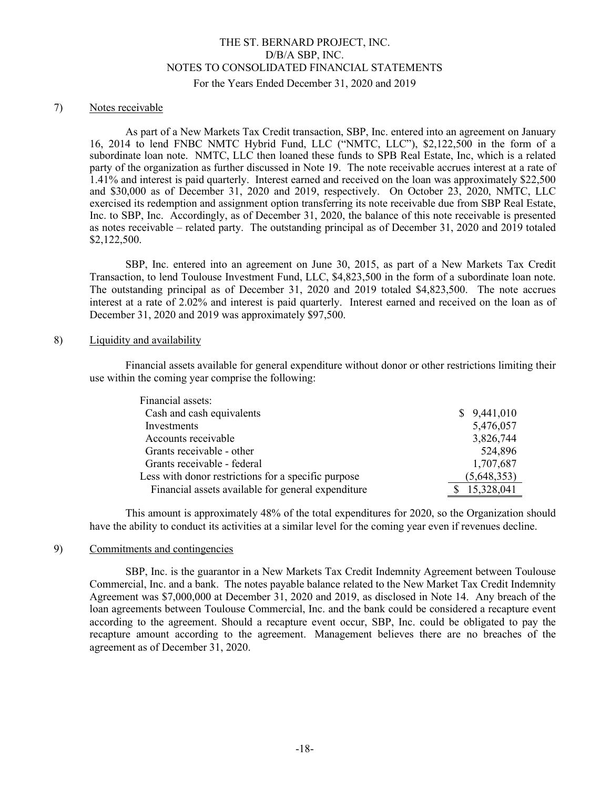# THE ST. BERNARD PROJECT, INC. D/B/A SBP, INC. NOTES TO CONSOLIDATED FINANCIAL STATEMENTS

For the Years Ended December 31, 2020 and 2019

# 7) Notes receivable

As part of a New Markets Tax Credit transaction, SBP, Inc. entered into an agreement on January 16, 2014 to lend FNBC NMTC Hybrid Fund, LLC ("NMTC, LLC"), \$2,122,500 in the form of a subordinate loan note. NMTC, LLC then loaned these funds to SPB Real Estate, Inc, which is a related party of the organization as further discussed in Note 19. The note receivable accrues interest at a rate of 1.41% and interest is paid quarterly. Interest earned and received on the loan was approximately \$22,500 and \$30,000 as of December 31, 2020 and 2019, respectively. On October 23, 2020, NMTC, LLC exercised its redemption and assignment option transferring its note receivable due from SBP Real Estate, Inc. to SBP, Inc. Accordingly, as of December 31, 2020, the balance of this note receivable is presented as notes receivable – related party. The outstanding principal as of December 31, 2020 and 2019 totaled \$2,122,500.

SBP, Inc. entered into an agreement on June 30, 2015, as part of a New Markets Tax Credit Transaction, to lend Toulouse Investment Fund, LLC, \$4,823,500 in the form of a subordinate loan note. The outstanding principal as of December 31, 2020 and 2019 totaled \$4,823,500. The note accrues interest at a rate of 2.02% and interest is paid quarterly. Interest earned and received on the loan as of December 31, 2020 and 2019 was approximately \$97,500.

# 8) Liquidity and availability

Financial assets available for general expenditure without donor or other restrictions limiting their use within the coming year comprise the following:

| Financial assets:                                   |             |
|-----------------------------------------------------|-------------|
| Cash and cash equivalents                           | \$9,441,010 |
| Investments                                         | 5,476,057   |
| Accounts receivable                                 | 3,826,744   |
| Grants receivable - other                           | 524,896     |
| Grants receivable - federal                         | 1,707,687   |
| Less with donor restrictions for a specific purpose | (5,648,353) |
| Financial assets available for general expenditure  | 15,328,041  |

This amount is approximately 48% of the total expenditures for 2020, so the Organization should have the ability to conduct its activities at a similar level for the coming year even if revenues decline.

# 9) Commitments and contingencies

SBP, Inc. is the guarantor in a New Markets Tax Credit Indemnity Agreement between Toulouse Commercial, Inc. and a bank. The notes payable balance related to the New Market Tax Credit Indemnity Agreement was \$7,000,000 at December 31, 2020 and 2019, as disclosed in Note 14. Any breach of the loan agreements between Toulouse Commercial, Inc. and the bank could be considered a recapture event according to the agreement. Should a recapture event occur, SBP, Inc. could be obligated to pay the recapture amount according to the agreement. Management believes there are no breaches of the agreement as of December 31, 2020.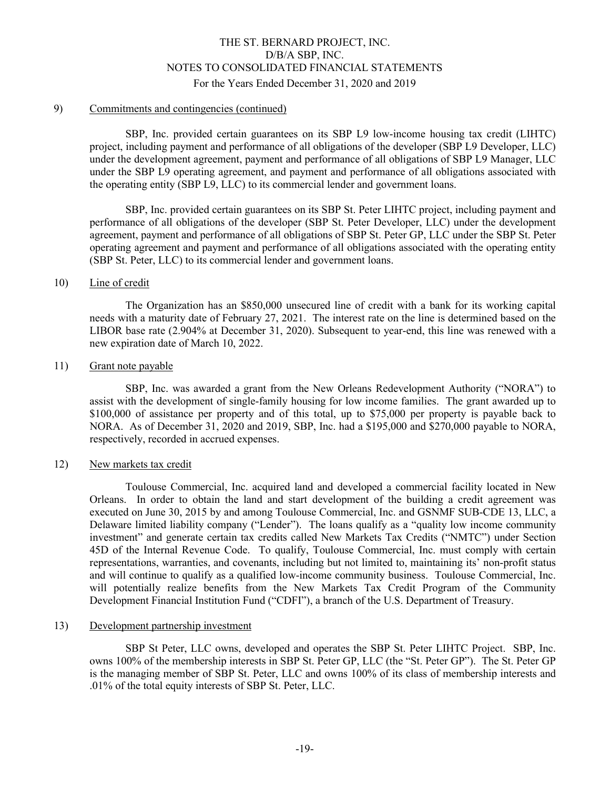# 9) Commitments and contingencies (continued)

SBP, Inc. provided certain guarantees on its SBP L9 low-income housing tax credit (LIHTC) project, including payment and performance of all obligations of the developer (SBP L9 Developer, LLC) under the development agreement, payment and performance of all obligations of SBP L9 Manager, LLC under the SBP L9 operating agreement, and payment and performance of all obligations associated with the operating entity (SBP L9, LLC) to its commercial lender and government loans.

SBP, Inc. provided certain guarantees on its SBP St. Peter LIHTC project, including payment and performance of all obligations of the developer (SBP St. Peter Developer, LLC) under the development agreement, payment and performance of all obligations of SBP St. Peter GP, LLC under the SBP St. Peter operating agreement and payment and performance of all obligations associated with the operating entity (SBP St. Peter, LLC) to its commercial lender and government loans.

#### 10) Line of credit

The Organization has an \$850,000 unsecured line of credit with a bank for its working capital needs with a maturity date of February 27, 2021. The interest rate on the line is determined based on the LIBOR base rate (2.904% at December 31, 2020). Subsequent to year-end, this line was renewed with a new expiration date of March 10, 2022.

# 11) Grant note payable

SBP, Inc. was awarded a grant from the New Orleans Redevelopment Authority ("NORA") to assist with the development of single-family housing for low income families. The grant awarded up to \$100,000 of assistance per property and of this total, up to \$75,000 per property is payable back to NORA. As of December 31, 2020 and 2019, SBP, Inc. had a \$195,000 and \$270,000 payable to NORA, respectively, recorded in accrued expenses.

# 12) New markets tax credit

Toulouse Commercial, Inc. acquired land and developed a commercial facility located in New Orleans. In order to obtain the land and start development of the building a credit agreement was executed on June 30, 2015 by and among Toulouse Commercial, Inc. and GSNMF SUB-CDE 13, LLC, a Delaware limited liability company ("Lender"). The loans qualify as a "quality low income community investment" and generate certain tax credits called New Markets Tax Credits ("NMTC") under Section 45D of the Internal Revenue Code. To qualify, Toulouse Commercial, Inc. must comply with certain representations, warranties, and covenants, including but not limited to, maintaining its' non-profit status and will continue to qualify as a qualified low-income community business. Toulouse Commercial, Inc. will potentially realize benefits from the New Markets Tax Credit Program of the Community Development Financial Institution Fund ("CDFI"), a branch of the U.S. Department of Treasury.

#### 13) Development partnership investment

SBP St Peter, LLC owns, developed and operates the SBP St. Peter LIHTC Project. SBP, Inc. owns 100% of the membership interests in SBP St. Peter GP, LLC (the "St. Peter GP"). The St. Peter GP is the managing member of SBP St. Peter, LLC and owns 100% of its class of membership interests and .01% of the total equity interests of SBP St. Peter, LLC.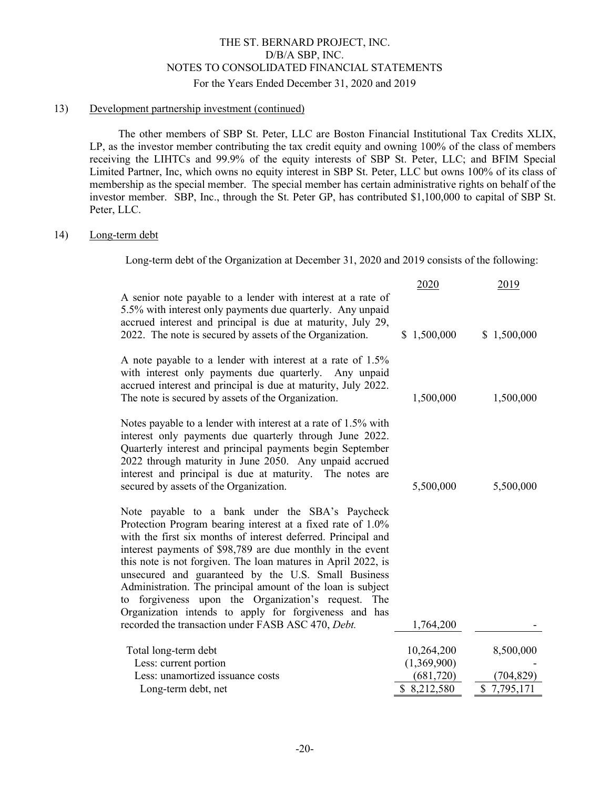# 13) Development partnership investment (continued)

The other members of SBP St. Peter, LLC are Boston Financial Institutional Tax Credits XLIX, LP, as the investor member contributing the tax credit equity and owning 100% of the class of members receiving the LIHTCs and 99.9% of the equity interests of SBP St. Peter, LLC; and BFIM Special Limited Partner, Inc, which owns no equity interest in SBP St. Peter, LLC but owns 100% of its class of membership as the special member. The special member has certain administrative rights on behalf of the investor member. SBP, Inc., through the St. Peter GP, has contributed \$1,100,000 to capital of SBP St. Peter, LLC.

# 14) Long-term debt

Long-term debt of the Organization at December 31, 2020 and 2019 consists of the following:

|                                                                                                                                                                                                                                                                                                                                                                                                                                                                                                                                                                                                            | 2020        | 2019        |
|------------------------------------------------------------------------------------------------------------------------------------------------------------------------------------------------------------------------------------------------------------------------------------------------------------------------------------------------------------------------------------------------------------------------------------------------------------------------------------------------------------------------------------------------------------------------------------------------------------|-------------|-------------|
| A senior note payable to a lender with interest at a rate of<br>5.5% with interest only payments due quarterly. Any unpaid<br>accrued interest and principal is due at maturity, July 29,<br>2022. The note is secured by assets of the Organization.                                                                                                                                                                                                                                                                                                                                                      | \$1,500,000 | \$1,500,000 |
| A note payable to a lender with interest at a rate of 1.5%<br>with interest only payments due quarterly. Any unpaid<br>accrued interest and principal is due at maturity, July 2022.<br>The note is secured by assets of the Organization.                                                                                                                                                                                                                                                                                                                                                                 | 1,500,000   | 1,500,000   |
| Notes payable to a lender with interest at a rate of 1.5% with<br>interest only payments due quarterly through June 2022.<br>Quarterly interest and principal payments begin September<br>2022 through maturity in June 2050. Any unpaid accrued<br>interest and principal is due at maturity. The notes are<br>secured by assets of the Organization.                                                                                                                                                                                                                                                     | 5,500,000   | 5,500,000   |
| Note payable to a bank under the SBA's Paycheck<br>Protection Program bearing interest at a fixed rate of 1.0%<br>with the first six months of interest deferred. Principal and<br>interest payments of \$98,789 are due monthly in the event<br>this note is not forgiven. The loan matures in April 2022, is<br>unsecured and guaranteed by the U.S. Small Business<br>Administration. The principal amount of the loan is subject<br>to forgiveness upon the Organization's request. The<br>Organization intends to apply for forgiveness and has<br>recorded the transaction under FASB ASC 470, Debt. | 1,764,200   |             |
|                                                                                                                                                                                                                                                                                                                                                                                                                                                                                                                                                                                                            |             |             |
| Total long-term debt                                                                                                                                                                                                                                                                                                                                                                                                                                                                                                                                                                                       | 10,264,200  | 8,500,000   |
| Less: current portion                                                                                                                                                                                                                                                                                                                                                                                                                                                                                                                                                                                      | (1,369,900) |             |
| Less: unamortized issuance costs                                                                                                                                                                                                                                                                                                                                                                                                                                                                                                                                                                           | (681, 720)  | (704, 829)  |
| Long-term debt, net                                                                                                                                                                                                                                                                                                                                                                                                                                                                                                                                                                                        | \$8,212,580 | \$7,795,171 |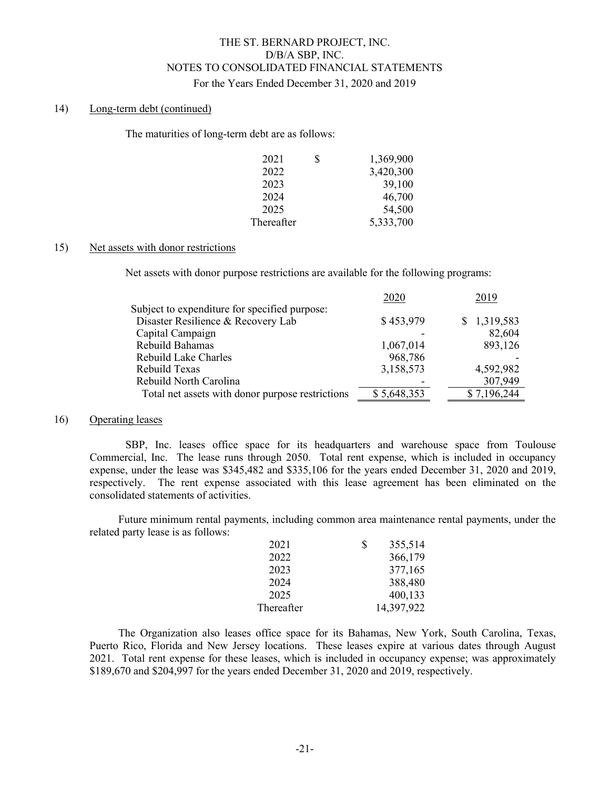# 14) Long-term debt (continued)

The maturities of long-term debt are as follows:

| 2021       | S | 1,369,900 |
|------------|---|-----------|
| 2022       |   | 3,420,300 |
| 2023       |   | 39,100    |
| 2024       |   | 46,700    |
| 2025       |   | 54,500    |
| Thereafter |   | 5,333,700 |
|            |   |           |

# 15) Net assets with donor restrictions

Net assets with donor purpose restrictions are available for the following programs:

|                                                  | 2020        | 2019        |
|--------------------------------------------------|-------------|-------------|
| Subject to expenditure for specified purpose:    |             |             |
| Disaster Resilience & Recovery Lab               | \$453,979   | \$1,319,583 |
| Capital Campaign                                 |             | 82,604      |
| Rebuild Bahamas                                  | 1,067,014   | 893,126     |
| Rebuild Lake Charles                             | 968,786     |             |
| Rebuild Texas                                    | 3,158,573   | 4,592,982   |
| Rebuild North Carolina                           |             | 307,949     |
| Total net assets with donor purpose restrictions | \$5,648,353 | \$7,196,244 |

# 16) Operating leases

SBP, Inc. leases office space for its headquarters and warehouse space from Toulouse Commercial, Inc. The lease runs through 2050. Total rent expense, which is included in occupancy expense, under the lease was \$345,482 and \$335,106 for the years ended December 31, 2020 and 2019, respectively. The rent expense associated with this lease agreement has been eliminated on the consolidated statements of activities.

Future minimum rental payments, including common area maintenance rental payments, under the related party lease is as follows:

| 2021       | S | 355,514    |
|------------|---|------------|
| 2022       |   | 366,179    |
| 2023       |   | 377,165    |
| 2024       |   | 388,480    |
| 2025       |   | 400,133    |
| Thereafter |   | 14,397,922 |

The Organization also leases office space for its Bahamas, New York, South Carolina, Texas, Puerto Rico, Florida and New Jersey locations. These leases expire at various dates through August 2021. Total rent expense for these leases, which is included in occupancy expense; was approximately \$189,670 and \$204,997 for the years ended December 31, 2020 and 2019, respectively.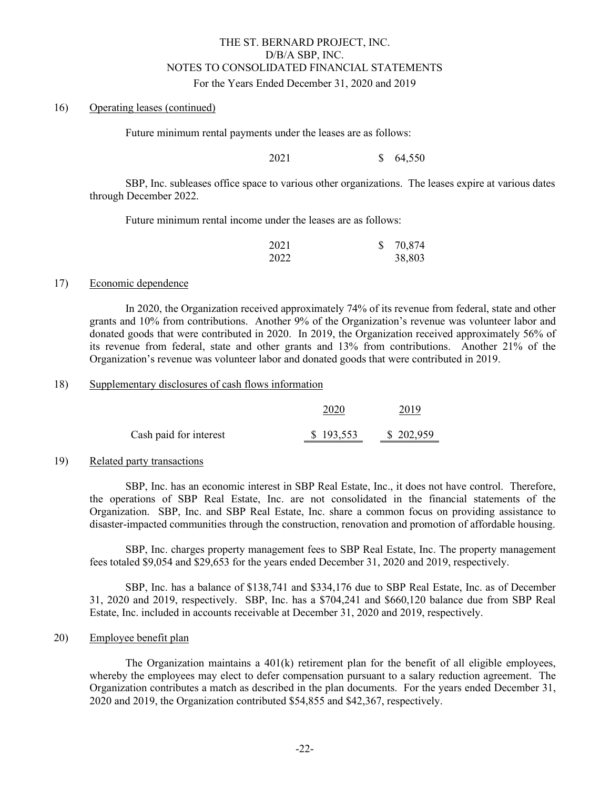# 16) Operating leases (continued)

Future minimum rental payments under the leases are as follows:

2021 \$ 64,550

SBP, Inc. subleases office space to various other organizations. The leases expire at various dates through December 2022.

Future minimum rental income under the leases are as follows:

| 2021 | \$70,874 |
|------|----------|
| 2022 | 38,803   |

#### 17) Economic dependence

In 2020, the Organization received approximately 74% of its revenue from federal, state and other grants and 10% from contributions. Another 9% of the Organization's revenue was volunteer labor and donated goods that were contributed in 2020. In 2019, the Organization received approximately 56% of its revenue from federal, state and other grants and 13% from contributions. Another 21% of the Organization's revenue was volunteer labor and donated goods that were contributed in 2019.

#### 18) Supplementary disclosures of cash flows information

|                        | 2020      | 2019      |
|------------------------|-----------|-----------|
| Cash paid for interest | \$193,553 | \$202,959 |

# 19) Related party transactions

SBP, Inc. has an economic interest in SBP Real Estate, Inc., it does not have control. Therefore, the operations of SBP Real Estate, Inc. are not consolidated in the financial statements of the Organization. SBP, Inc. and SBP Real Estate, Inc. share a common focus on providing assistance to disaster-impacted communities through the construction, renovation and promotion of affordable housing.

SBP, Inc. charges property management fees to SBP Real Estate, Inc. The property management fees totaled \$9,054 and \$29,653 for the years ended December 31, 2020 and 2019, respectively.

SBP, Inc. has a balance of \$138,741 and \$334,176 due to SBP Real Estate, Inc. as of December 31, 2020 and 2019, respectively. SBP, Inc. has a \$704,241 and \$660,120 balance due from SBP Real Estate, Inc. included in accounts receivable at December 31, 2020 and 2019, respectively.

# 20) Employee benefit plan

The Organization maintains a  $401(k)$  retirement plan for the benefit of all eligible employees, whereby the employees may elect to defer compensation pursuant to a salary reduction agreement. The Organization contributes a match as described in the plan documents. For the years ended December 31, 2020 and 2019, the Organization contributed \$54,855 and \$42,367, respectively.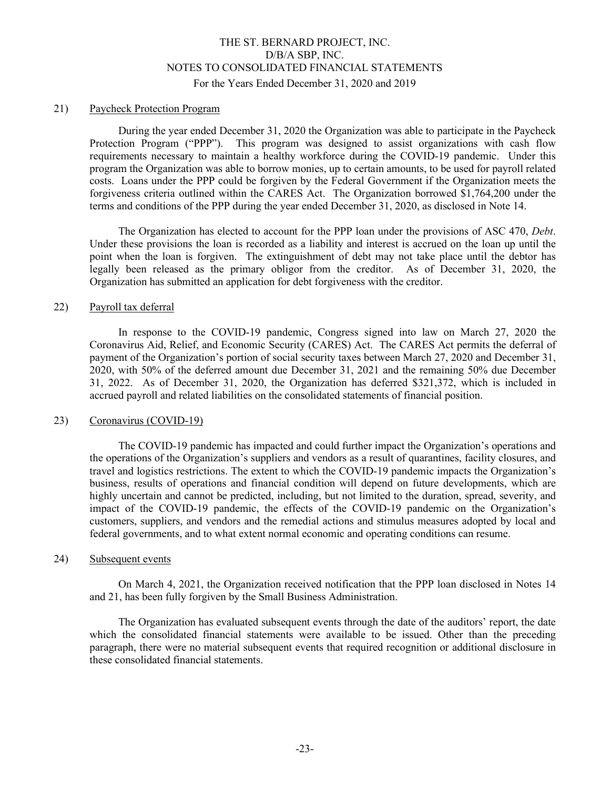# 21) Paycheck Protection Program

During the year ended December 31, 2020 the Organization was able to participate in the Paycheck Protection Program ("PPP"). This program was designed to assist organizations with cash flow requirements necessary to maintain a healthy workforce during the COVID-19 pandemic. Under this program the Organization was able to borrow monies, up to certain amounts, to be used for payroll related costs. Loans under the PPP could be forgiven by the Federal Government if the Organization meets the forgiveness criteria outlined within the CARES Act. The Organization borrowed \$1,764,200 under the terms and conditions of the PPP during the year ended December 31, 2020, as disclosed in Note 14.

The Organization has elected to account for the PPP loan under the provisions of ASC 470, *Debt*. Under these provisions the loan is recorded as a liability and interest is accrued on the loan up until the point when the loan is forgiven. The extinguishment of debt may not take place until the debtor has legally been released as the primary obligor from the creditor. As of December 31, 2020, the Organization has submitted an application for debt forgiveness with the creditor.

#### 22) Payroll tax deferral

In response to the COVID-19 pandemic, Congress signed into law on March 27, 2020 the Coronavirus Aid, Relief, and Economic Security (CARES) Act. The CARES Act permits the deferral of payment of the Organization's portion of social security taxes between March 27, 2020 and December 31, 2020, with 50% of the deferred amount due December 31, 2021 and the remaining 50% due December 31, 2022. As of December 31, 2020, the Organization has deferred \$321,372, which is included in accrued payroll and related liabilities on the consolidated statements of financial position.

#### 23) Coronavirus (COVID-19)

The COVID-19 pandemic has impacted and could further impact the Organization's operations and the operations of the Organization's suppliers and vendors as a result of quarantines, facility closures, and travel and logistics restrictions. The extent to which the COVID-19 pandemic impacts the Organization's business, results of operations and financial condition will depend on future developments, which are highly uncertain and cannot be predicted, including, but not limited to the duration, spread, severity, and impact of the COVID-19 pandemic, the effects of the COVID-19 pandemic on the Organization's customers, suppliers, and vendors and the remedial actions and stimulus measures adopted by local and federal governments, and to what extent normal economic and operating conditions can resume.

# 24) Subsequent events

On March 4, 2021, the Organization received notification that the PPP loan disclosed in Notes 14 and 21, has been fully forgiven by the Small Business Administration.

The Organization has evaluated subsequent events through the date of the auditors' report, the date which the consolidated financial statements were available to be issued. Other than the preceding paragraph, there were no material subsequent events that required recognition or additional disclosure in these consolidated financial statements.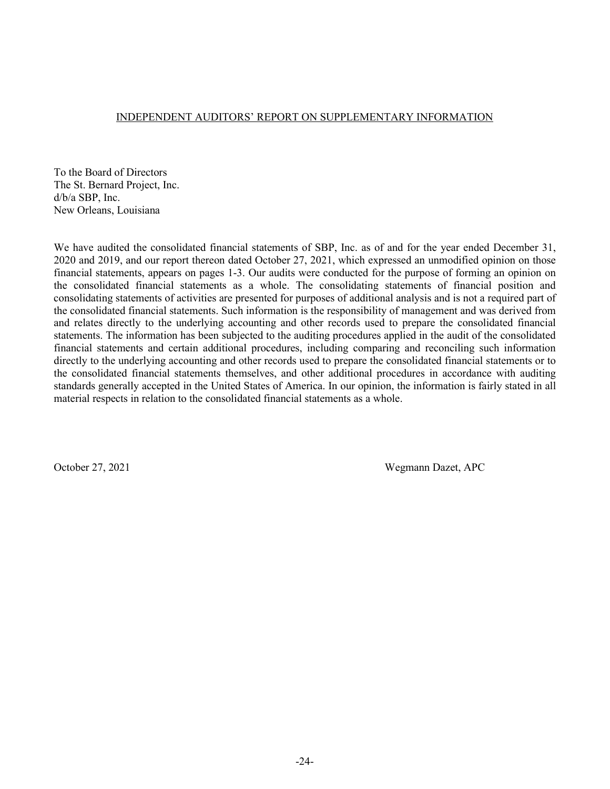# INDEPENDENT AUDITORS' REPORT ON SUPPLEMENTARY INFORMATION

To the Board of Directors The St. Bernard Project, Inc. d/b/a SBP, Inc. New Orleans, Louisiana

We have audited the consolidated financial statements of SBP, Inc. as of and for the year ended December 31, 2020 and 2019, and our report thereon dated October 27, 2021, which expressed an unmodified opinion on those financial statements, appears on pages 1-3. Our audits were conducted for the purpose of forming an opinion on the consolidated financial statements as a whole. The consolidating statements of financial position and consolidating statements of activities are presented for purposes of additional analysis and is not a required part of the consolidated financial statements. Such information is the responsibility of management and was derived from and relates directly to the underlying accounting and other records used to prepare the consolidated financial statements. The information has been subjected to the auditing procedures applied in the audit of the consolidated financial statements and certain additional procedures, including comparing and reconciling such information directly to the underlying accounting and other records used to prepare the consolidated financial statements or to the consolidated financial statements themselves, and other additional procedures in accordance with auditing standards generally accepted in the United States of America. In our opinion, the information is fairly stated in all material respects in relation to the consolidated financial statements as a whole.

October 27, 2021 Wegmann Dazet, APC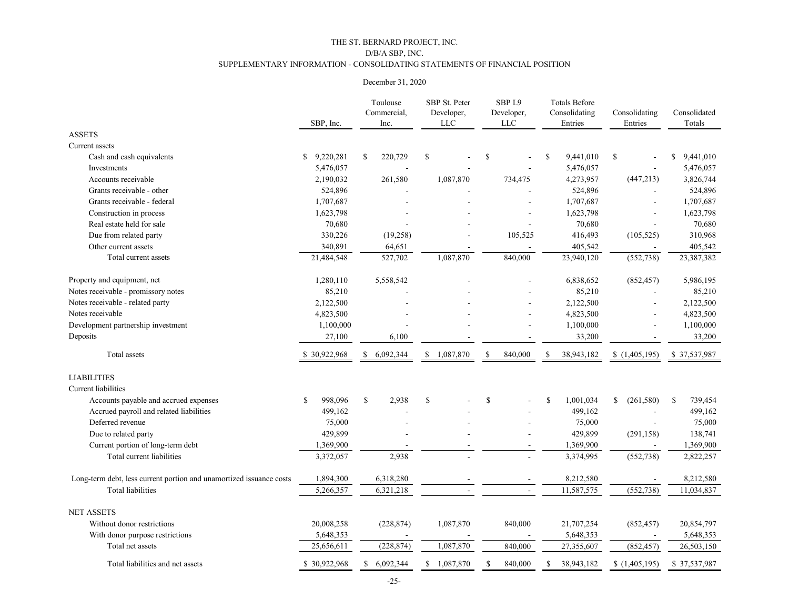#### THE ST. BERNARD PROJECT, INC. SUPPLEMENTARY INFORMATION - CONSOLIDATING STATEMENTS OF FINANCIAL POSITION D/B/A SBP, INC.

#### December 31, 2020

|                                                                     |                 | Toulouse            | SBP St. Peter            | SBP <sub>L9</sub>        | <b>Totals Before</b>     |                          |                            |
|---------------------------------------------------------------------|-----------------|---------------------|--------------------------|--------------------------|--------------------------|--------------------------|----------------------------|
|                                                                     | SBP, Inc.       | Commercial,<br>Inc. | Developer,<br><b>LLC</b> | Developer,<br><b>LLC</b> | Consolidating<br>Entries | Consolidating<br>Entries | Consolidated<br>Totals     |
| <b>ASSETS</b>                                                       |                 |                     |                          |                          |                          |                          |                            |
| Current assets                                                      |                 |                     |                          |                          |                          |                          |                            |
| Cash and cash equivalents                                           | 9,220,281<br>S. | \$<br>220,729       | \$                       | \$                       | S<br>9,441,010           | \$                       | <sup>\$</sup><br>9,441,010 |
| Investments                                                         | 5,476,057       |                     |                          |                          | 5,476,057                |                          | 5,476,057                  |
| Accounts receivable                                                 | 2,190,032       | 261,580             | 1,087,870                | 734,475                  | 4,273,957                | (447, 213)               | 3,826,744                  |
| Grants receivable - other                                           | 524,896         |                     |                          |                          | 524,896                  | $\sim$                   | 524,896                    |
| Grants receivable - federal                                         | 1,707,687       |                     |                          |                          | 1,707,687                | ÷,                       | 1,707,687                  |
| Construction in process                                             | 1,623,798       |                     |                          |                          | 1,623,798                |                          | 1,623,798                  |
| Real estate held for sale                                           | 70,680          |                     |                          |                          | 70,680                   |                          | 70,680                     |
| Due from related party                                              | 330,226         | (19,258)            |                          | 105,525                  | 416,493                  | (105, 525)               | 310,968                    |
| Other current assets                                                | 340,891         | 64,651              |                          |                          | 405,542                  | $\blacksquare$           | 405,542                    |
| Total current assets                                                | 21,484,548      | 527,702             | 1,087,870                | 840,000                  | 23,940,120               | (552, 738)               | 23,387,382                 |
|                                                                     |                 |                     |                          |                          |                          |                          |                            |
| Property and equipment, net                                         | 1,280,110       | 5,558,542           |                          |                          | 6,838,652                | (852, 457)               | 5,986,195                  |
| Notes receivable - promissory notes                                 | 85,210          |                     |                          |                          | 85,210                   | $\overline{a}$           | 85,210                     |
| Notes receivable - related party                                    | 2,122,500       |                     |                          |                          | 2,122,500                |                          | 2,122,500                  |
| Notes receivable                                                    | 4,823,500       |                     |                          |                          | 4,823,500                |                          | 4,823,500                  |
| Development partnership investment                                  | 1,100,000       |                     |                          |                          | 1,100,000                |                          | 1,100,000                  |
| Deposits                                                            | 27,100          | 6,100               |                          |                          | 33,200                   |                          | 33,200                     |
| Total assets                                                        | \$30,922,968    | 6,092,344<br>\$     | 1,087,870<br>\$          | S<br>840,000             | 38,943,182<br>S          | \$(1,405,195)            | \$37,537,987               |
| <b>LIABILITIES</b>                                                  |                 |                     |                          |                          |                          |                          |                            |
| <b>Current</b> liabilities                                          |                 |                     |                          |                          |                          |                          |                            |
| Accounts payable and accrued expenses                               | 998,096<br>\$   | \$<br>2,938         | <sup>\$</sup>            | S                        | 1,001,034<br>\$          | \$<br>(261, 580)         | \$<br>739,454              |
| Accrued payroll and related liabilities                             | 499,162         |                     |                          |                          | 499,162                  | ÷,                       | 499,162                    |
| Deferred revenue                                                    | 75,000          |                     |                          |                          | 75,000                   | $\overline{\phantom{a}}$ | 75,000                     |
| Due to related party                                                | 429,899         |                     |                          |                          | 429,899                  | (291, 158)               | 138,741                    |
| Current portion of long-term debt                                   | 1,369,900       |                     |                          |                          | 1,369,900                |                          | 1,369,900                  |
| Total current liabilities                                           | 3,372,057       | 2,938               |                          |                          | 3,374,995                | (552, 738)               | 2,822,257                  |
|                                                                     |                 |                     |                          |                          |                          |                          |                            |
| Long-term debt, less current portion and unamortized issuance costs | 1,894,300       | 6,318,280           |                          |                          | 8,212,580                |                          | 8,212,580                  |
| <b>Total liabilities</b>                                            | 5,266,357       | 6,321,218           |                          |                          | 11,587,575               | (552, 738)               | 11,034,837                 |
| <b>NET ASSETS</b>                                                   |                 |                     |                          |                          |                          |                          |                            |
| Without donor restrictions                                          | 20,008,258      | (228, 874)          | 1,087,870                | 840,000                  | 21,707,254               | (852, 457)               | 20,854,797                 |
| With donor purpose restrictions                                     | 5,648,353       |                     |                          |                          | 5,648,353                |                          | 5,648,353                  |
| Total net assets                                                    | 25,656,611      | (228, 874)          | 1,087,870                | 840,000                  | 27,355,607               | (852, 457)               | 26,503,150                 |
| Total liabilities and net assets                                    | \$30,922,968    | \$<br>6,092,344     | \$<br>1,087,870          | S<br>840,000             | 38,943,182<br>\$         | \$(1,405,195)            | \$37,537,987               |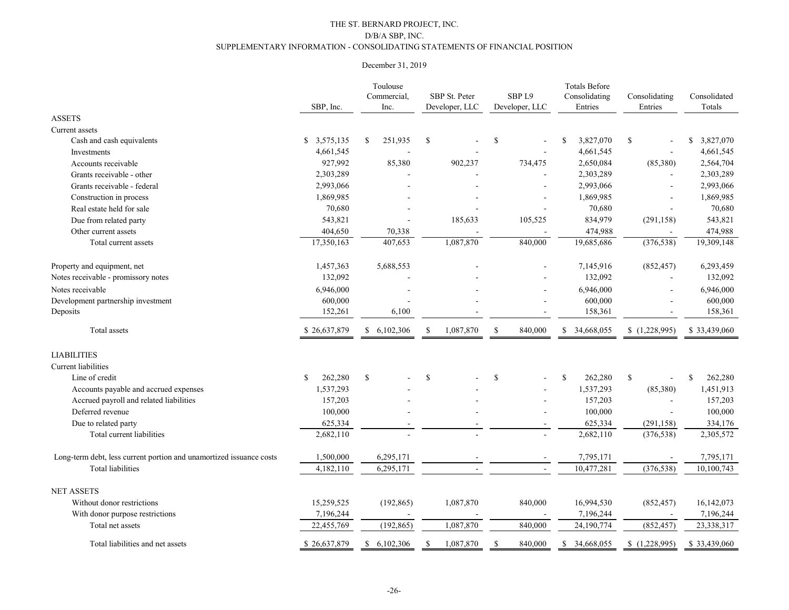#### THE ST. BERNARD PROJECT, INC. SUPPLEMENTARY INFORMATION - CONSOLIDATING STATEMENTS OF FINANCIAL POSITION D/B/A SBP, INC.

#### December 31, 2019

|                                                                     |                 | Toulouse      |               |                |                   |    | <b>Totals Before</b> |                |                          |
|---------------------------------------------------------------------|-----------------|---------------|---------------|----------------|-------------------|----|----------------------|----------------|--------------------------|
|                                                                     |                 | Commercial,   |               | SBP St. Peter  | SBP <sub>L9</sub> |    | Consolidating        | Consolidating  | Consolidated             |
|                                                                     | SBP, Inc.       | Inc.          |               | Developer, LLC | Developer, LLC    |    | Entries              | Entries        | Totals                   |
| <b>ASSETS</b>                                                       |                 |               |               |                |                   |    |                      |                |                          |
| Current assets                                                      |                 |               |               |                |                   |    |                      |                |                          |
| Cash and cash equivalents                                           | \$<br>3,575,135 | \$<br>251,935 | <sup>\$</sup> |                | \$                |    | 3,827,070            | \$             | \$<br>3,827,070          |
| Investments                                                         | 4,661,545       |               |               |                |                   |    | 4,661,545            |                | 4,661,545                |
| Accounts receivable                                                 | 927,992         | 85,380        |               | 902,237        | 734,475           |    | 2,650,084            | (85,380)       | 2,564,704                |
| Grants receivable - other                                           | 2,303,289       |               |               |                |                   |    | 2,303,289            |                | 2,303,289                |
| Grants receivable - federal                                         | 2,993,066       |               |               |                |                   |    | 2,993,066            |                | 2,993,066                |
| Construction in process                                             | 1,869,985       |               |               |                |                   |    | 1,869,985            |                | 1,869,985                |
| Real estate held for sale                                           | 70,680          |               |               |                |                   |    | 70,680               |                | 70,680                   |
| Due from related party                                              | 543,821         |               |               | 185,633        | 105,525           |    | 834,979              | (291, 158)     | 543,821                  |
| Other current assets                                                | 404,650         | 70,338        |               |                |                   |    | 474,988              |                | 474,988                  |
| Total current assets                                                | 17,350,163      | 407,653       |               | 1,087,870      | 840,000           |    | 19,685,686           | (376, 538)     | 19,309,148               |
| Property and equipment, net                                         | 1,457,363       | 5,688,553     |               |                |                   |    | 7,145,916            | (852, 457)     | 6,293,459                |
| Notes receivable - promissory notes                                 | 132,092         |               |               |                |                   |    | 132,092              |                | 132,092                  |
| Notes receivable                                                    | 6,946,000       |               |               |                |                   |    | 6,946,000            |                | 6,946,000                |
| Development partnership investment                                  | 600,000         |               |               |                |                   |    | 600,000              |                | 600,000                  |
| Deposits                                                            | 152,261         | 6,100         |               |                |                   |    | 158,361              |                | 158,361                  |
| Total assets                                                        | \$26,637,879    | \$6,102,306   | S             | 1,087,870      | \$<br>840,000     | \$ | 34,668,055           | (1,228,995)    | \$33,439,060             |
| <b>LIABILITIES</b>                                                  |                 |               |               |                |                   |    |                      |                |                          |
| Current liabilities                                                 |                 |               |               |                |                   |    |                      |                |                          |
| Line of credit                                                      | 262,280<br>\$   | \$            | <sup>\$</sup> |                | \$                | \$ | 262,280              | \$             | 262,280<br><sup>\$</sup> |
| Accounts payable and accrued expenses                               | 1,537,293       |               |               |                |                   |    | 1,537,293            | (85,380)       | 1,451,913                |
| Accrued payroll and related liabilities                             | 157,203         |               |               |                |                   |    | 157,203              |                | 157,203                  |
| Deferred revenue                                                    | 100,000         |               |               |                |                   |    | 100,000              |                | 100,000                  |
| Due to related party                                                | 625,334         |               |               |                |                   |    | 625,334              | (291, 158)     | 334,176                  |
| Total current liabilities                                           | 2,682,110       |               |               |                |                   |    | 2,682,110            | (376, 538)     | 2,305,572                |
| Long-term debt, less current portion and unamortized issuance costs | 1,500,000       | 6,295,171     |               |                |                   |    | 7,795,171            |                | 7,795,171                |
| <b>Total liabilities</b>                                            | 4,182,110       | 6,295,171     |               |                |                   |    | 10,477,281           | (376, 538)     | 10,100,743               |
| <b>NET ASSETS</b>                                                   |                 |               |               |                |                   |    |                      |                |                          |
| Without donor restrictions                                          | 15,259,525      | (192, 865)    |               | 1,087,870      | 840,000           |    | 16,994,530           | (852, 457)     | 16,142,073               |
| With donor purpose restrictions                                     | 7,196,244       |               |               |                |                   |    | 7,196,244            | $\blacksquare$ | 7,196,244                |
| Total net assets                                                    | 22,455,769      | (192, 865)    |               | 1,087,870      | 840,000           |    | 24,190,774           | (852, 457)     | 23,338,317               |
| Total liabilities and net assets                                    | \$26,637,879    | \$6,102,306   | <sup>\$</sup> | 1,087,870      | \$<br>840,000     | S. | 34,668,055           | (1,228,995)    | \$33,439,060             |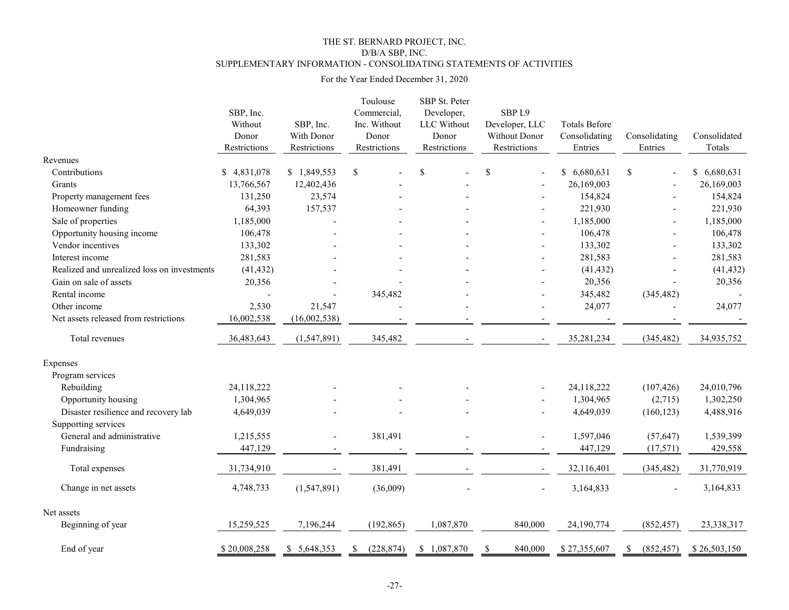# THE ST. BERNARD PROJECT, INC. SUPPLEMENTARY INFORMATION - CONSOLIDATING STATEMENTS OF ACTIVITIES D/B/A SBP, INC.

|                                             | SBP, Inc.<br>Without<br>Donor<br>Restrictions | SBP, Inc.<br>With Donor<br>Restrictions | Toulouse<br>Commercial.<br>Inc. Without<br>Donor<br>Restrictions | SBP St. Peter<br>Developer,<br>LLC Without<br>Donor<br>Restrictions | SBP <sub>L9</sub><br>Developer, LLC<br>Without Donor<br>Restrictions | <b>Totals Before</b><br>Consolidating<br>Entries | Consolidating<br>Entries | Consolidated<br>Totals |
|---------------------------------------------|-----------------------------------------------|-----------------------------------------|------------------------------------------------------------------|---------------------------------------------------------------------|----------------------------------------------------------------------|--------------------------------------------------|--------------------------|------------------------|
| Revenues                                    |                                               |                                         |                                                                  |                                                                     |                                                                      |                                                  |                          |                        |
| Contributions                               | \$4,831,078                                   | \$1,849,553                             | $\mathbb{S}$                                                     | \$                                                                  | \$                                                                   | \$<br>6,680,631                                  | $\mathbb{S}$             | \$<br>6,680,631        |
| Grants                                      | 13,766,567                                    | 12,402,436                              |                                                                  |                                                                     |                                                                      | 26,169,003                                       |                          | 26,169,003             |
| Property management fees                    | 131,250                                       | 23,574                                  |                                                                  |                                                                     |                                                                      | 154,824                                          |                          | 154,824                |
| Homeowner funding                           | 64,393                                        | 157,537                                 |                                                                  |                                                                     |                                                                      | 221,930                                          |                          | 221,930                |
| Sale of properties                          | 1,185,000                                     |                                         |                                                                  |                                                                     |                                                                      | 1,185,000                                        |                          | 1,185,000              |
| Opportunity housing income                  | 106,478                                       |                                         |                                                                  |                                                                     |                                                                      | 106,478                                          |                          | 106,478                |
| Vendor incentives                           | 133,302                                       |                                         |                                                                  |                                                                     |                                                                      | 133,302                                          |                          | 133,302                |
| Interest income                             | 281,583                                       |                                         |                                                                  |                                                                     |                                                                      | 281,583                                          |                          | 281,583                |
| Realized and unrealized loss on investments | (41, 432)                                     |                                         |                                                                  |                                                                     |                                                                      | (41, 432)                                        |                          | (41, 432)              |
| Gain on sale of assets                      | 20,356                                        |                                         |                                                                  |                                                                     |                                                                      | 20,356                                           |                          | 20,356                 |
| Rental income                               |                                               |                                         | 345,482                                                          |                                                                     |                                                                      | 345,482                                          | (345, 482)               |                        |
| Other income                                | 2,530                                         | 21,547                                  |                                                                  |                                                                     |                                                                      | 24,077                                           |                          | 24,077                 |
| Net assets released from restrictions       | 16,002,538                                    | (16,002,538)                            |                                                                  |                                                                     |                                                                      |                                                  |                          |                        |
| Total revenues                              | 36,483,643                                    | (1,547,891)                             | 345,482                                                          |                                                                     |                                                                      | 35,281,234                                       | (345, 482)               | 34,935,752             |
| Expenses                                    |                                               |                                         |                                                                  |                                                                     |                                                                      |                                                  |                          |                        |
| Program services                            |                                               |                                         |                                                                  |                                                                     |                                                                      |                                                  |                          |                        |
| Rebuilding                                  | 24,118,222                                    |                                         |                                                                  |                                                                     |                                                                      | 24,118,222                                       | (107, 426)               | 24,010,796             |
| Opportunity housing                         | 1,304,965                                     |                                         |                                                                  |                                                                     |                                                                      | 1,304,965                                        | (2,715)                  | 1,302,250              |
| Disaster resilience and recovery lab        | 4,649,039                                     |                                         |                                                                  |                                                                     |                                                                      | 4,649,039                                        | (160, 123)               | 4,488,916              |
| Supporting services                         |                                               |                                         |                                                                  |                                                                     |                                                                      |                                                  |                          |                        |
| General and administrative                  | 1,215,555                                     |                                         | 381,491                                                          |                                                                     |                                                                      | 1,597,046                                        | (57, 647)                | 1,539,399              |
| Fundraising                                 | 447,129                                       |                                         |                                                                  |                                                                     |                                                                      | 447,129                                          | (17, 571)                | 429,558                |
| Total expenses                              | 31,734,910                                    |                                         | 381,491                                                          |                                                                     |                                                                      | 32,116,401                                       | (345, 482)               | 31,770,919             |
| Change in net assets                        | 4,748,733                                     | (1,547,891)                             | (36,009)                                                         |                                                                     |                                                                      | 3,164,833                                        |                          | 3,164,833              |
| Net assets                                  |                                               |                                         |                                                                  |                                                                     |                                                                      |                                                  |                          |                        |
| Beginning of year                           | 15,259,525                                    | 7,196,244                               | (192, 865)                                                       | 1,087,870                                                           | 840,000                                                              | 24,190,774                                       | (852, 457)               | 23,338,317             |
| End of year                                 | \$20,008,258                                  | \$5,648,353                             | (228, 874)<br>\$.                                                | \$1,087,870                                                         | S<br>840,000                                                         | \$27,355,607                                     | (852, 457)<br>\$.        | \$26,503,150           |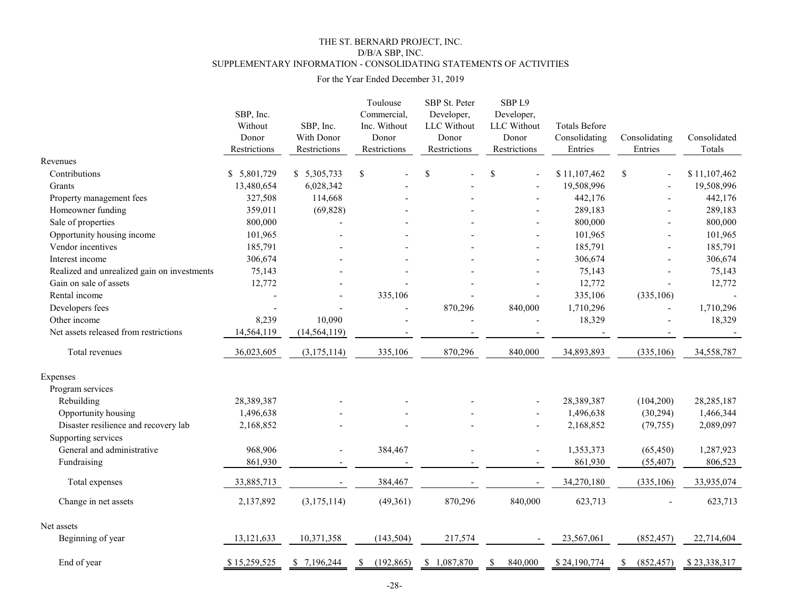# THE ST. BERNARD PROJECT, INC. SUPPLEMENTARY INFORMATION - CONSOLIDATING STATEMENTS OF ACTIVITIES D/B/A SBP, INC.

|                                             | SBP, Inc.    |                | Toulouse                    | SBP St. Peter             | SBP <sub>L9</sub>         |                      |                  |              |
|---------------------------------------------|--------------|----------------|-----------------------------|---------------------------|---------------------------|----------------------|------------------|--------------|
|                                             | Without      | SBP, Inc.      | Commercial,<br>Inc. Without | Developer,<br>LLC Without | Developer,<br>LLC Without | <b>Totals Before</b> |                  |              |
|                                             | Donor        | With Donor     | Donor                       | Donor                     | Donor                     | Consolidating        | Consolidating    | Consolidated |
|                                             | Restrictions | Restrictions   | Restrictions                | Restrictions              | Restrictions              | Entries              | Entries          | Totals       |
| Revenues                                    |              |                |                             |                           |                           |                      |                  |              |
| Contributions                               | \$5,801,729  | \$5,305,733    | $\$$                        | \$                        | \$                        | \$11,107,462         | \$               | \$11,107,462 |
| Grants                                      | 13,480,654   | 6,028,342      |                             |                           |                           | 19,508,996           |                  | 19,508,996   |
| Property management fees                    | 327,508      | 114,668        |                             |                           |                           | 442,176              |                  | 442,176      |
| Homeowner funding                           | 359,011      | (69, 828)      |                             |                           |                           | 289,183              |                  | 289,183      |
| Sale of properties                          | 800,000      |                |                             |                           |                           | 800,000              |                  | 800,000      |
| Opportunity housing income                  | 101,965      |                |                             |                           |                           | 101,965              |                  | 101,965      |
| Vendor incentives                           | 185,791      |                |                             |                           |                           | 185,791              |                  | 185,791      |
| Interest income                             | 306,674      |                |                             |                           |                           | 306,674              |                  | 306,674      |
| Realized and unrealized gain on investments | 75,143       |                |                             |                           |                           | 75,143               |                  | 75,143       |
| Gain on sale of assets                      | 12,772       |                |                             |                           |                           | 12,772               |                  | 12,772       |
| Rental income                               |              |                | 335,106                     |                           |                           | 335,106              | (335, 106)       |              |
| Developers fees                             |              |                |                             | 870,296                   | 840,000                   | 1,710,296            |                  | 1,710,296    |
| Other income                                | 8,239        | 10,090         |                             |                           |                           | 18,329               |                  | 18,329       |
| Net assets released from restrictions       | 14,564,119   | (14, 564, 119) |                             |                           |                           |                      |                  |              |
|                                             |              |                |                             |                           |                           |                      |                  |              |
| Total revenues                              | 36,023,605   | (3,175,114)    | 335,106                     | 870,296                   | 840,000                   | 34,893,893           | (335, 106)       | 34,558,787   |
| Expenses                                    |              |                |                             |                           |                           |                      |                  |              |
| Program services                            |              |                |                             |                           |                           |                      |                  |              |
| Rebuilding                                  | 28,389,387   |                |                             |                           |                           | 28,389,387           | (104,200)        | 28, 285, 187 |
| Opportunity housing                         | 1,496,638    |                |                             |                           |                           | 1,496,638            | (30,294)         | 1,466,344    |
| Disaster resilience and recovery lab        | 2,168,852    |                |                             |                           |                           | 2,168,852            | (79, 755)        | 2,089,097    |
| Supporting services                         |              |                |                             |                           |                           |                      |                  |              |
| General and administrative                  | 968,906      |                | 384,467                     |                           |                           | 1,353,373            | (65, 450)        | 1,287,923    |
| Fundraising                                 | 861,930      |                |                             |                           |                           | 861,930              | (55, 407)        | 806,523      |
| Total expenses                              | 33,885,713   |                | 384,467                     |                           |                           | 34,270,180           | (335, 106)       | 33,935,074   |
| Change in net assets                        | 2,137,892    | (3,175,114)    | (49,361)                    | 870,296                   | 840,000                   | 623,713              |                  | 623,713      |
| Net assets                                  |              |                |                             |                           |                           |                      |                  |              |
| Beginning of year                           | 13, 121, 633 | 10,371,358     | (143, 504)                  | 217,574                   |                           | 23,567,061           | (852, 457)       | 22,714,604   |
| End of year                                 | \$15,259,525 | \$7,196,244    | (192, 865)<br><sup>S</sup>  | \$1,087,870               | 840,000<br><sup>\$</sup>  | \$24,190,774         | \$<br>(852, 457) | \$23,338,317 |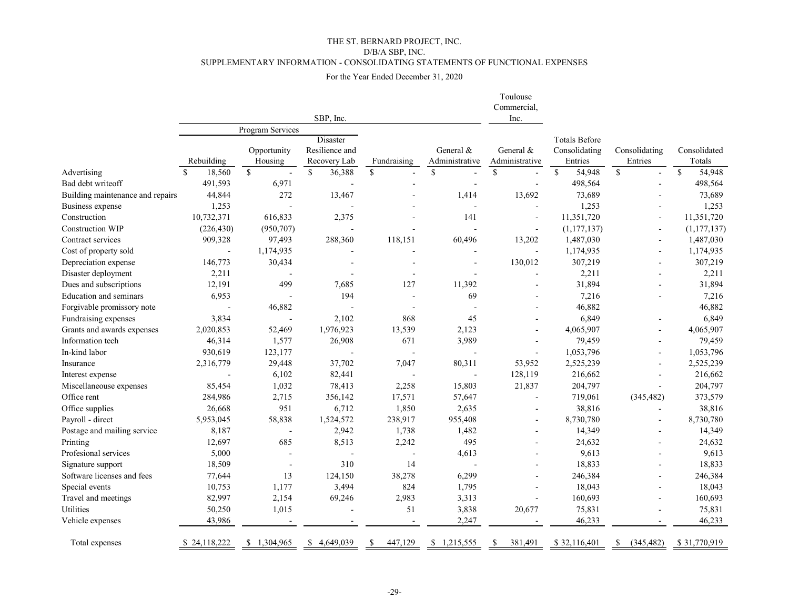#### THE ST. BERNARD PROJECT, INC. SUPPLEMENTARY INFORMATION - CONSOLIDATING STATEMENTS OF FUNCTIONAL EXPENSES D/B/A SBP, INC.

|                                  |                              |  |                                           |                                |                          |                             | Toulouse<br>Commercial,<br>Inc. |                          |                          |                         |
|----------------------------------|------------------------------|--|-------------------------------------------|--------------------------------|--------------------------|-----------------------------|---------------------------------|--------------------------|--------------------------|-------------------------|
|                                  | SBP, Inc.                    |  |                                           |                                |                          |                             |                                 |                          |                          |                         |
|                                  | Program Services<br>Disaster |  |                                           |                                |                          |                             | <b>Totals Before</b>            |                          |                          |                         |
|                                  | Rebuilding                   |  | Opportunity<br>Housing                    | Resilience and<br>Recovery Lab | Fundraising              | General &<br>Administrative | General &<br>Administrative     | Consolidating<br>Entries | Consolidating<br>Entries | Consolidated<br>Totals  |
| Advertising                      | 18,560<br><sup>\$</sup>      |  | <sup>\$</sup><br>$\overline{\phantom{a}}$ | 36,388<br>$\mathbb{S}$         | <sup>\$</sup>            | <sup>\$</sup>               | $\mathbb{S}$                    | $\mathbb{S}$<br>54,948   | <sup>\$</sup>            | <sup>\$</sup><br>54,948 |
| Bad debt writeoff                | 491,593                      |  | 6,971                                     |                                |                          |                             |                                 | 498,564                  |                          | 498,564                 |
| Building maintenance and repairs | 44,844                       |  | 272                                       | 13,467                         |                          | 1,414                       | 13,692                          | 73,689                   |                          | 73,689                  |
| Business expense                 | 1,253                        |  | $\overline{\phantom{a}}$                  |                                |                          |                             |                                 | 1,253                    |                          | 1,253                   |
| Construction                     | 10,732,371                   |  | 616,833                                   | 2,375                          |                          | 141                         | $\overline{a}$                  | 11,351,720               | $\sim$                   | 11,351,720              |
| <b>Construction WIP</b>          | (226, 430)                   |  | (950, 707)                                |                                | $\overline{a}$           | $\sim$                      | $\sim$                          | (1, 177, 137)            | $\blacksquare$           | (1, 177, 137)           |
| Contract services                | 909,328                      |  | 97,493                                    | 288,360                        | 118,151                  | 60,496                      | 13,202                          | 1,487,030                | $\blacksquare$           | 1,487,030               |
| Cost of property sold            |                              |  | 1,174,935                                 |                                |                          |                             |                                 | 1,174,935                |                          | 1,174,935               |
| Depreciation expense             | 146,773                      |  | 30,434                                    |                                |                          | $\overline{a}$              | 130,012                         | 307,219                  |                          | 307,219                 |
| Disaster deployment              | 2,211                        |  |                                           |                                |                          |                             |                                 | 2,211                    |                          | 2,211                   |
| Dues and subscriptions           | 12,191                       |  | 499                                       | 7,685                          | 127                      | 11,392                      |                                 | 31,894                   |                          | 31,894                  |
| Education and seminars           | 6,953                        |  |                                           | 194                            | $\sim$                   | 69                          |                                 | 7,216                    |                          | 7,216                   |
| Forgivable promissory note       |                              |  | 46,882                                    |                                |                          |                             |                                 | 46,882                   |                          | 46,882                  |
| Fundraising expenses             | 3,834                        |  |                                           | 2,102                          | 868                      | 45                          |                                 | 6,849                    |                          | 6,849                   |
| Grants and awards expenses       | 2,020,853                    |  | 52,469                                    | 1,976,923                      | 13,539                   | 2,123                       |                                 | 4,065,907                |                          | 4,065,907               |
| Information tech                 | 46,314                       |  | 1,577                                     | 26,908                         | 671                      | 3,989                       |                                 | 79,459                   |                          | 79,459                  |
| In-kind labor                    | 930,619                      |  | 123,177                                   |                                | $\overline{a}$           | $\overline{\phantom{a}}$    | $\overline{\phantom{a}}$        | 1,053,796                |                          | 1,053,796               |
| Insurance                        | 2,316,779                    |  | 29,448                                    | 37,702                         | 7,047                    | 80,311                      | 53,952                          | 2,525,239                |                          | 2,525,239               |
| Interest expense                 |                              |  | 6,102                                     | 82,441                         | $\overline{a}$           |                             | 128,119                         | 216,662                  |                          | 216,662                 |
| Miscellaneouse expenses          | 85,454                       |  | 1,032                                     | 78,413                         | 2,258                    | 15,803                      | 21,837                          | 204,797                  |                          | 204,797                 |
| Office rent                      | 284,986                      |  | 2,715                                     | 356,142                        | 17,571                   | 57,647                      | $\overline{a}$                  | 719,061                  | (345, 482)               | 373,579                 |
| Office supplies                  | 26,668                       |  | 951                                       | 6,712                          | 1,850                    | 2,635                       | $\blacksquare$                  | 38,816                   |                          | 38,816                  |
| Payroll - direct                 | 5,953,045                    |  | 58,838                                    | 1,524,572                      | 238,917                  | 955,408                     |                                 | 8,730,780                |                          | 8,730,780               |
| Postage and mailing service      | 8,187                        |  | $\overline{\phantom{a}}$                  | 2,942                          | 1,738                    | 1,482                       | $\blacksquare$                  | 14,349                   |                          | 14,349                  |
| Printing                         | 12,697                       |  | 685                                       | 8,513                          | 2,242                    | 495                         | $\blacksquare$                  | 24,632                   |                          | 24,632                  |
| Profesional services             | 5,000                        |  |                                           |                                |                          | 4,613                       |                                 | 9,613                    |                          | 9,613                   |
| Signature support                | 18,509                       |  | $\overline{\phantom{a}}$                  | 310                            | 14                       |                             |                                 | 18,833                   |                          | 18,833                  |
| Software licenses and fees       | 77,644                       |  | 13                                        | 124,150                        | 38,278                   | 6,299                       |                                 | 246,384                  |                          | 246,384                 |
| Special events                   | 10,753                       |  | 1,177                                     | 3,494                          | 824                      | 1,795                       | $\overline{a}$                  | 18,043                   |                          | 18,043                  |
| Travel and meetings              | 82,997                       |  | 2,154                                     | 69,246                         | 2,983                    | 3,313                       |                                 | 160,693                  |                          | 160,693                 |
| Utilities                        | 50,250                       |  | 1,015                                     |                                | 51                       | 3,838                       | 20,677                          | 75,831                   |                          | 75,831                  |
| Vehicle expenses                 | 43,986                       |  |                                           |                                | $\blacksquare$           | 2,247                       |                                 | 46,233                   |                          | 46,233                  |
| Total expenses                   | \$24,118,222                 |  | \$1,304,965                               | 4,649,039<br>S.                | 447,129<br><sup>\$</sup> | S.<br>1,215,555             | 381,491<br>\$.                  | \$32,116,401             | (345, 482)<br><b>S</b>   | \$31,770,919            |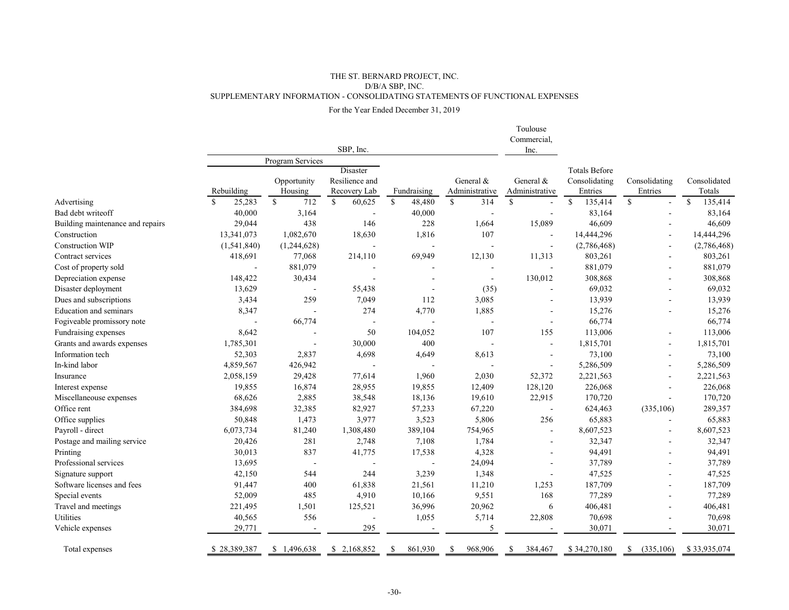#### THE ST. BERNARD PROJECT, INC. SUPPLEMENTARY INFORMATION - CONSOLIDATING STATEMENTS OF FUNCTIONAL EXPENSES D/B/A SBP, INC.

|                                  |              |                                            |                                            |                          |                                | Toulouse<br>Commercial,                 |                                                  |                                          |                        |
|----------------------------------|--------------|--------------------------------------------|--------------------------------------------|--------------------------|--------------------------------|-----------------------------------------|--------------------------------------------------|------------------------------------------|------------------------|
|                                  |              |                                            | SBP, Inc.                                  |                          | Inc.                           |                                         |                                                  |                                          |                        |
|                                  | Rebuilding   | Program Services<br>Opportunity<br>Housing | Disaster<br>Resilience and<br>Recovery Lab | Fundraising              | General $\&$<br>Administrative | General $&$<br>Administrative           | <b>Totals Before</b><br>Consolidating<br>Entries | Consolidating<br>Entries                 | Consolidated<br>Totals |
| Advertising                      | \$<br>25,283 | $\mathbf{s}$<br>712                        | $\mathbf S$<br>60,625                      | $\mathbf S$<br>48,480    | $\mathbf S$<br>314             | $\mathbf S$<br>$\overline{\phantom{a}}$ | $\mathbf S$<br>135,414                           | $\mathbb{S}$<br>$\overline{\phantom{a}}$ | $\mathbf S$<br>135,414 |
| Bad debt writeoff                | 40,000       | 3,164                                      |                                            | 40,000                   | $\overline{\phantom{a}}$       | ÷,                                      | 83,164                                           |                                          | 83,164                 |
| Building maintenance and repairs | 29,044       | 438                                        | 146                                        | 228                      | 1,664                          | 15,089                                  | 46,609                                           | $\overline{\phantom{a}}$                 | 46,609                 |
| Construction                     | 13,341,073   | 1,082,670                                  | 18,630                                     | 1,816                    | 107                            | $\overline{a}$                          | 14,444,296                                       | $\overline{a}$                           | 14,444,296             |
| <b>Construction WIP</b>          | (1,541,840)  | (1,244,628)                                |                                            |                          |                                | $\overline{a}$                          | (2,786,468)                                      | $\blacksquare$                           | (2,786,468)            |
| Contract services                | 418,691      | 77,068                                     | 214,110                                    | 69,949                   | 12,130                         | 11,313                                  | 803,261                                          | $\overline{\phantom{a}}$                 | 803,261                |
| Cost of property sold            |              | 881,079                                    |                                            |                          |                                | $\blacksquare$                          | 881,079                                          | $\overline{\phantom{a}}$                 | 881,079                |
| Depreciation expense             | 148,422      | 30,434                                     |                                            |                          |                                | 130,012                                 | 308,868                                          | $\overline{\phantom{a}}$                 | 308,868                |
| Disaster deployment              | 13,629       |                                            | 55,438                                     |                          | (35)                           | $\blacksquare$                          | 69,032                                           | $\blacksquare$                           | 69,032                 |
| Dues and subscriptions           | 3,434        | 259                                        | 7,049                                      | 112                      | 3,085                          |                                         | 13,939                                           | $\sim$                                   | 13,939                 |
| <b>Education and seminars</b>    | 8,347        |                                            | 274                                        | 4,770                    | 1,885                          |                                         | 15,276                                           | $\sim$                                   | 15,276                 |
| Fogiveable promissory note       |              | 66,774                                     |                                            | ÷.                       | $\sim$                         | $\sim$                                  | 66,774                                           |                                          | 66,774                 |
| Fundraising expenses             | 8,642        |                                            | 50                                         | 104,052                  | 107                            | 155                                     | 113,006                                          | $\overline{\phantom{a}}$                 | 113,006                |
| Grants and awards expenses       | 1,785,301    |                                            | 30,000                                     | 400                      |                                | $\sim$                                  | 1,815,701                                        | $\overline{\phantom{a}}$                 | 1,815,701              |
| Information tech                 | 52,303       | 2,837                                      | 4,698                                      | 4,649                    | 8,613                          | $\blacksquare$                          | 73,100                                           | $\overline{a}$                           | 73,100                 |
| In-kind labor                    | 4,859,567    | 426,942                                    |                                            | $\sim$                   | Ĭ.                             | $\sim$                                  | 5,286,509                                        | $\overline{a}$                           | 5,286,509              |
| Insurance                        | 2,058,159    | 29,428                                     | 77,614                                     | 1,960                    | 2,030                          | 52,372                                  | 2,221,563                                        | $\overline{\phantom{a}}$                 | 2,221,563              |
| Interest expense                 | 19,855       | 16,874                                     | 28,955                                     | 19,855                   | 12,409                         | 128,120                                 | 226,068                                          | $\overline{a}$                           | 226,068                |
| Miscellaneouse expenses          | 68,626       | 2,885                                      | 38,548                                     | 18,136                   | 19,610                         | 22,915                                  | 170,720                                          | $\sim$                                   | 170,720                |
| Office rent                      | 384,698      | 32,385                                     | 82,927                                     | 57,233                   | 67,220                         | $\sim$                                  | 624,463                                          | (335,106)                                | 289,357                |
| Office supplies                  | 50,848       | 1,473                                      | 3,977                                      | 3,523                    | 5,806                          | 256                                     | 65,883                                           | $\overline{\phantom{a}}$                 | 65,883                 |
| Payroll - direct                 | 6,073,734    | 81,240                                     | 1,308,480                                  | 389,104                  | 754,965                        | $\sim$                                  | 8,607,523                                        | $\sim$                                   | 8,607,523              |
| Postage and mailing service      | 20,426       | 281                                        | 2,748                                      | 7,108                    | 1,784                          | $\sim$                                  | 32,347                                           |                                          | 32,347                 |
| Printing                         | 30,013       | 837                                        | 41,775                                     | 17,538                   | 4,328                          | ÷.                                      | 94,491                                           | ÷.                                       | 94,491                 |
| Professional services            | 13,695       |                                            |                                            |                          | 24,094                         |                                         | 37,789                                           | $\sim$                                   | 37,789                 |
| Signature support                | 42,150       | 544                                        | 244                                        | 3,239                    | 1,348                          | $\sim$                                  | 47,525                                           | ÷.                                       | 47,525                 |
| Software licenses and fees       | 91,447       | 400                                        | 61,838                                     | 21,561                   | 11,210                         | 1,253                                   | 187,709                                          | $\overline{\phantom{a}}$                 | 187,709                |
| Special events                   | 52,009       | 485                                        | 4,910                                      | 10,166                   | 9,551                          | 168                                     | 77,289                                           | $\sim$                                   | 77,289                 |
| Travel and meetings              | 221,495      | 1,501                                      | 125,521                                    | 36,996                   | 20,962                         | 6                                       | 406,481                                          | $\blacksquare$                           | 406,481                |
| Utilities                        | 40,565       | 556                                        |                                            | 1,055                    | 5,714                          | 22,808                                  | 70,698                                           |                                          | 70,698                 |
| Vehicle expenses                 | 29,771       |                                            | 295                                        |                          | 5                              |                                         | 30,071                                           |                                          | 30,071                 |
| Total expenses                   | \$28,389,387 | \$1,496,638                                | \$2,168,852                                | 861,930<br><sup>\$</sup> | 968,906<br><sup>\$</sup>       | 384,467<br>-S                           | \$34,270,180                                     | (335, 106)<br><sup>\$</sup>              | \$33,935,074           |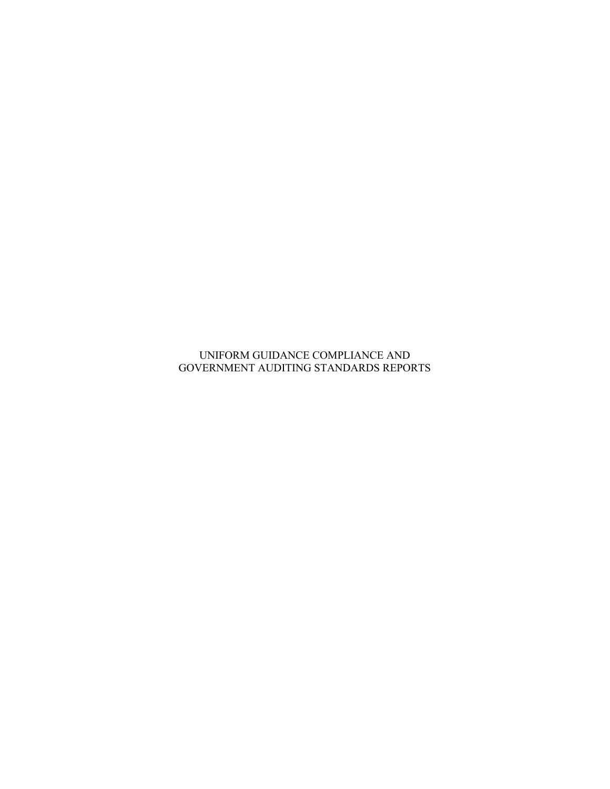UNIFORM GUIDANCE COMPLIANCE AND GOVERNMENT AUDITING STANDARDS REPORTS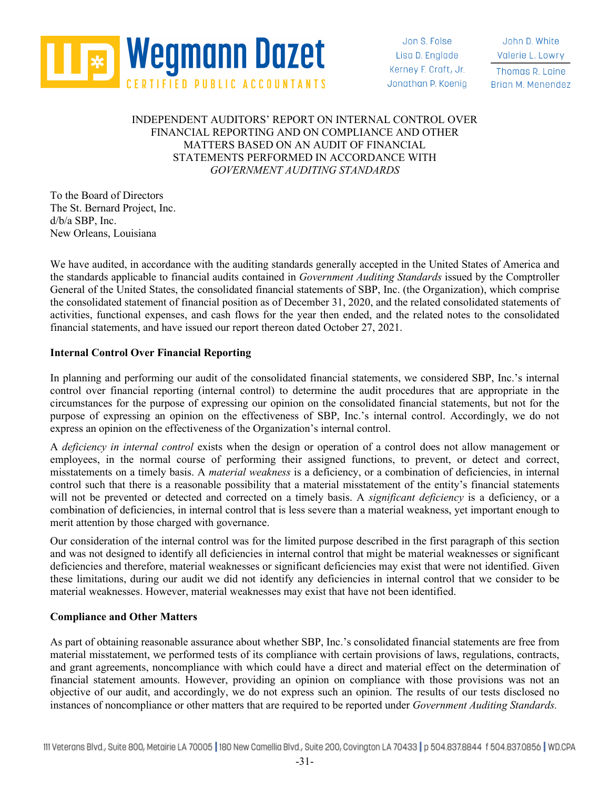

Jon S. Folse Lisa D. Englade Kerney F. Craft, Jr. Jonathan P. Koenig

John D. White Valerie L. Lowry Thomas R. Laine Brian M. Menendez

# INDEPENDENT AUDITORS' REPORT ON INTERNAL CONTROL OVER FINANCIAL REPORTING AND ON COMPLIANCE AND OTHER MATTERS BASED ON AN AUDIT OF FINANCIAL STATEMENTS PERFORMED IN ACCORDANCE WITH *GOVERNMENT AUDITING STANDARDS*

To the Board of Directors The St. Bernard Project, Inc. d/b/a SBP, Inc. New Orleans, Louisiana

We have audited, in accordance with the auditing standards generally accepted in the United States of America and the standards applicable to financial audits contained in *Government Auditing Standards* issued by the Comptroller General of the United States, the consolidated financial statements of SBP, Inc. (the Organization), which comprise the consolidated statement of financial position as of December 31, 2020, and the related consolidated statements of activities, functional expenses, and cash flows for the year then ended, and the related notes to the consolidated financial statements, and have issued our report thereon dated October 27, 2021.

# **Internal Control Over Financial Reporting**

In planning and performing our audit of the consolidated financial statements, we considered SBP, Inc.'s internal control over financial reporting (internal control) to determine the audit procedures that are appropriate in the circumstances for the purpose of expressing our opinion on the consolidated financial statements, but not for the purpose of expressing an opinion on the effectiveness of SBP, Inc.'s internal control. Accordingly, we do not express an opinion on the effectiveness of the Organization's internal control.

A *deficiency in internal control* exists when the design or operation of a control does not allow management or employees, in the normal course of performing their assigned functions, to prevent, or detect and correct, misstatements on a timely basis. A *material weakness* is a deficiency, or a combination of deficiencies, in internal control such that there is a reasonable possibility that a material misstatement of the entity's financial statements will not be prevented or detected and corrected on a timely basis. A *significant deficiency* is a deficiency, or a combination of deficiencies, in internal control that is less severe than a material weakness, yet important enough to merit attention by those charged with governance.

Our consideration of the internal control was for the limited purpose described in the first paragraph of this section and was not designed to identify all deficiencies in internal control that might be material weaknesses or significant deficiencies and therefore, material weaknesses or significant deficiencies may exist that were not identified. Given these limitations, during our audit we did not identify any deficiencies in internal control that we consider to be material weaknesses. However, material weaknesses may exist that have not been identified.

# **Compliance and Other Matters**

As part of obtaining reasonable assurance about whether SBP, Inc.'s consolidated financial statements are free from material misstatement, we performed tests of its compliance with certain provisions of laws, regulations, contracts, and grant agreements, noncompliance with which could have a direct and material effect on the determination of financial statement amounts. However, providing an opinion on compliance with those provisions was not an objective of our audit, and accordingly, we do not express such an opinion. The results of our tests disclosed no instances of noncompliance or other matters that are required to be reported under *Government Auditing Standards.*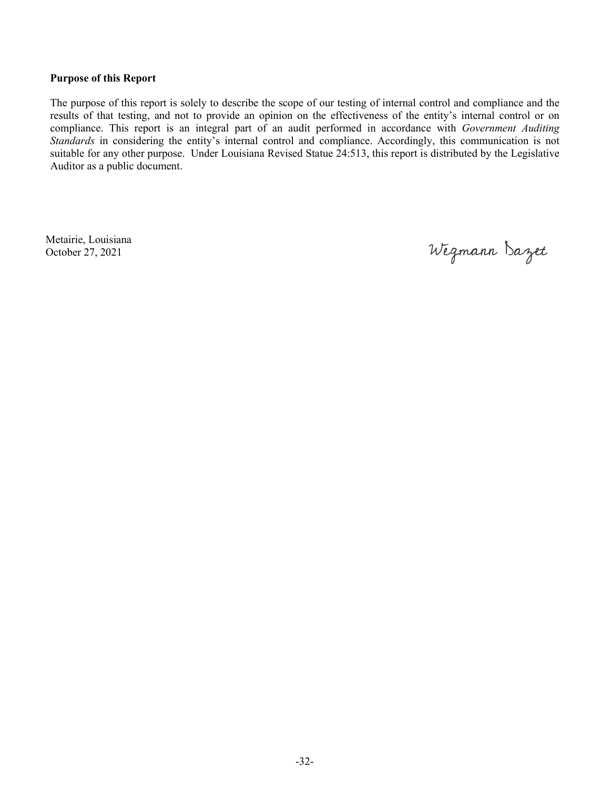#### **Purpose of this Report**

The purpose of this report is solely to describe the scope of our testing of internal control and compliance and the results of that testing, and not to provide an opinion on the effectiveness of the entity's internal control or on compliance. This report is an integral part of an audit performed in accordance with *Government Auditing Standards* in considering the entity's internal control and compliance. Accordingly, this communication is not suitable for any other purpose. Under Louisiana Revised Statue 24:513, this report is distributed by the Legislative Auditor as a public document.

Metairie, Louisiana October 27, 2021

Wegmann Bazet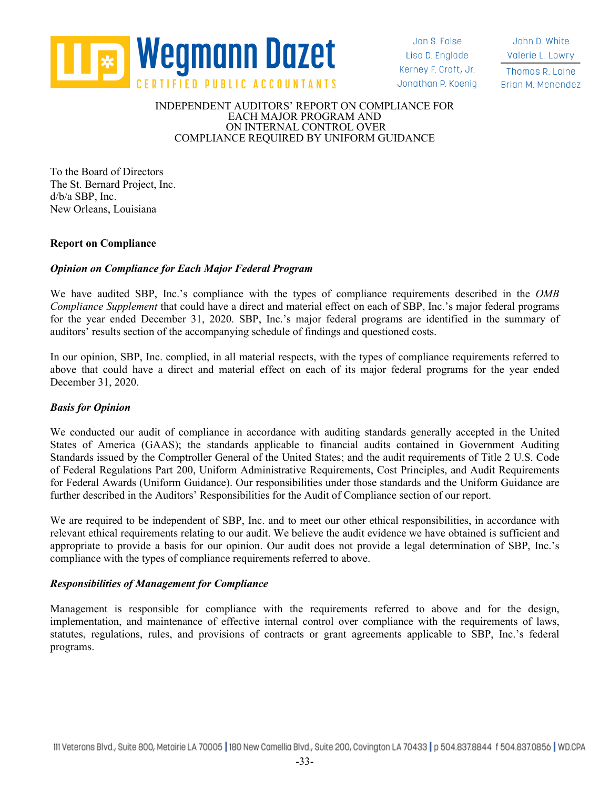

Jon S. Folse Lisa D. Englade Kerney F. Craft, Jr. Jonathan P. Koenig

John D. White Valerie L. Lowry Thomas R. Laine Brian M. Menendez

#### INDEPENDENT AUDITORS' REPORT ON COMPLIANCE FOR EACH MAJOR PROGRAM AND ON INTERNAL CONTROL OVER COMPLIANCE REQUIRED BY UNIFORM GUIDANCE

To the Board of Directors The St. Bernard Project, Inc. d/b/a SBP, Inc. New Orleans, Louisiana

# **Report on Compliance**

# *Opinion on Compliance for Each Major Federal Program*

We have audited SBP, Inc.'s compliance with the types of compliance requirements described in the *OMB Compliance Supplement* that could have a direct and material effect on each of SBP, Inc.'s major federal programs for the year ended December 31, 2020. SBP, Inc.'s major federal programs are identified in the summary of auditors' results section of the accompanying schedule of findings and questioned costs.

In our opinion, SBP, Inc. complied, in all material respects, with the types of compliance requirements referred to above that could have a direct and material effect on each of its major federal programs for the year ended December 31, 2020.

#### *Basis for Opinion*

We conducted our audit of compliance in accordance with auditing standards generally accepted in the United States of America (GAAS); the standards applicable to financial audits contained in Government Auditing Standards issued by the Comptroller General of the United States; and the audit requirements of Title 2 U.S. Code of Federal Regulations Part 200, Uniform Administrative Requirements, Cost Principles, and Audit Requirements for Federal Awards (Uniform Guidance). Our responsibilities under those standards and the Uniform Guidance are further described in the Auditors' Responsibilities for the Audit of Compliance section of our report.

We are required to be independent of SBP, Inc. and to meet our other ethical responsibilities, in accordance with relevant ethical requirements relating to our audit. We believe the audit evidence we have obtained is sufficient and appropriate to provide a basis for our opinion. Our audit does not provide a legal determination of SBP, Inc.'s compliance with the types of compliance requirements referred to above.

#### *Responsibilities of Management for Compliance*

Management is responsible for compliance with the requirements referred to above and for the design, implementation, and maintenance of effective internal control over compliance with the requirements of laws, statutes, regulations, rules, and provisions of contracts or grant agreements applicable to SBP, Inc.'s federal programs.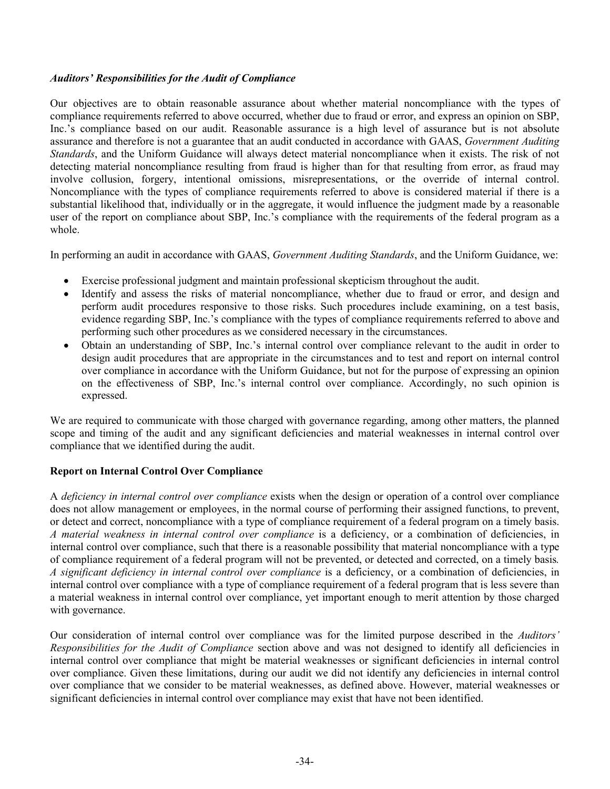# *Auditors' Responsibilities for the Audit of Compliance*

Our objectives are to obtain reasonable assurance about whether material noncompliance with the types of compliance requirements referred to above occurred, whether due to fraud or error, and express an opinion on SBP, Inc.'s compliance based on our audit. Reasonable assurance is a high level of assurance but is not absolute assurance and therefore is not a guarantee that an audit conducted in accordance with GAAS, *Government Auditing Standards*, and the Uniform Guidance will always detect material noncompliance when it exists. The risk of not detecting material noncompliance resulting from fraud is higher than for that resulting from error, as fraud may involve collusion, forgery, intentional omissions, misrepresentations, or the override of internal control. Noncompliance with the types of compliance requirements referred to above is considered material if there is a substantial likelihood that, individually or in the aggregate, it would influence the judgment made by a reasonable user of the report on compliance about SBP, Inc.'s compliance with the requirements of the federal program as a whole.

In performing an audit in accordance with GAAS, *Government Auditing Standards*, and the Uniform Guidance, we:

- Exercise professional judgment and maintain professional skepticism throughout the audit.
- Identify and assess the risks of material noncompliance, whether due to fraud or error, and design and perform audit procedures responsive to those risks. Such procedures include examining, on a test basis, evidence regarding SBP, Inc.'s compliance with the types of compliance requirements referred to above and performing such other procedures as we considered necessary in the circumstances.
- Obtain an understanding of SBP, Inc.'s internal control over compliance relevant to the audit in order to design audit procedures that are appropriate in the circumstances and to test and report on internal control over compliance in accordance with the Uniform Guidance, but not for the purpose of expressing an opinion on the effectiveness of SBP, Inc.'s internal control over compliance. Accordingly, no such opinion is expressed.

We are required to communicate with those charged with governance regarding, among other matters, the planned scope and timing of the audit and any significant deficiencies and material weaknesses in internal control over compliance that we identified during the audit.

# **Report on Internal Control Over Compliance**

A *deficiency in internal control over compliance* exists when the design or operation of a control over compliance does not allow management or employees, in the normal course of performing their assigned functions, to prevent, or detect and correct, noncompliance with a type of compliance requirement of a federal program on a timely basis. *A material weakness in internal control over compliance* is a deficiency, or a combination of deficiencies, in internal control over compliance, such that there is a reasonable possibility that material noncompliance with a type of compliance requirement of a federal program will not be prevented, or detected and corrected, on a timely basis*. A significant deficiency in internal control over compliance* is a deficiency, or a combination of deficiencies, in internal control over compliance with a type of compliance requirement of a federal program that is less severe than a material weakness in internal control over compliance, yet important enough to merit attention by those charged with governance.

Our consideration of internal control over compliance was for the limited purpose described in the *Auditors' Responsibilities for the Audit of Compliance* section above and was not designed to identify all deficiencies in internal control over compliance that might be material weaknesses or significant deficiencies in internal control over compliance. Given these limitations, during our audit we did not identify any deficiencies in internal control over compliance that we consider to be material weaknesses, as defined above. However, material weaknesses or significant deficiencies in internal control over compliance may exist that have not been identified.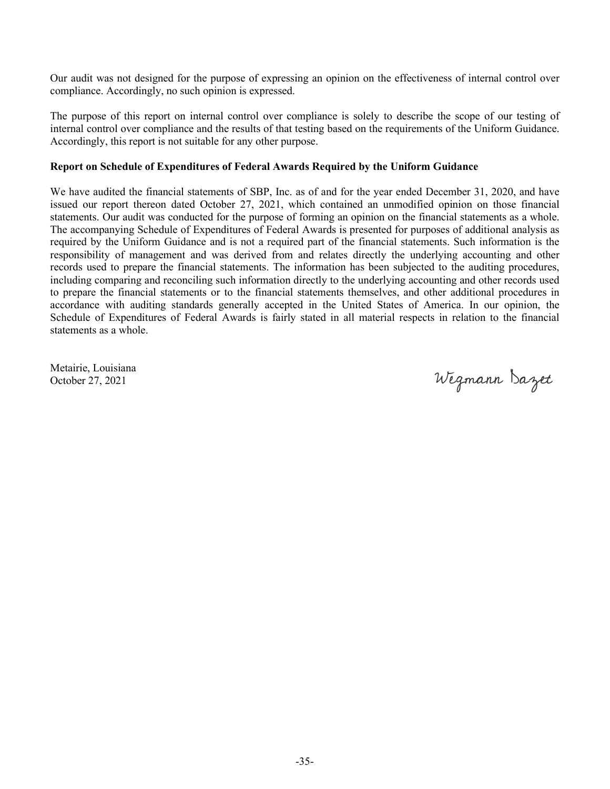Our audit was not designed for the purpose of expressing an opinion on the effectiveness of internal control over compliance. Accordingly, no such opinion is expressed.

The purpose of this report on internal control over compliance is solely to describe the scope of our testing of internal control over compliance and the results of that testing based on the requirements of the Uniform Guidance. Accordingly, this report is not suitable for any other purpose.

# **Report on Schedule of Expenditures of Federal Awards Required by the Uniform Guidance**

We have audited the financial statements of SBP, Inc. as of and for the year ended December 31, 2020, and have issued our report thereon dated October 27, 2021, which contained an unmodified opinion on those financial statements. Our audit was conducted for the purpose of forming an opinion on the financial statements as a whole. The accompanying Schedule of Expenditures of Federal Awards is presented for purposes of additional analysis as required by the Uniform Guidance and is not a required part of the financial statements. Such information is the responsibility of management and was derived from and relates directly the underlying accounting and other records used to prepare the financial statements. The information has been subjected to the auditing procedures, including comparing and reconciling such information directly to the underlying accounting and other records used to prepare the financial statements or to the financial statements themselves, and other additional procedures in accordance with auditing standards generally accepted in the United States of America. In our opinion, the Schedule of Expenditures of Federal Awards is fairly stated in all material respects in relation to the financial statements as a whole.

Metairie, Louisiana October 27, 2021

Wegmann Bazet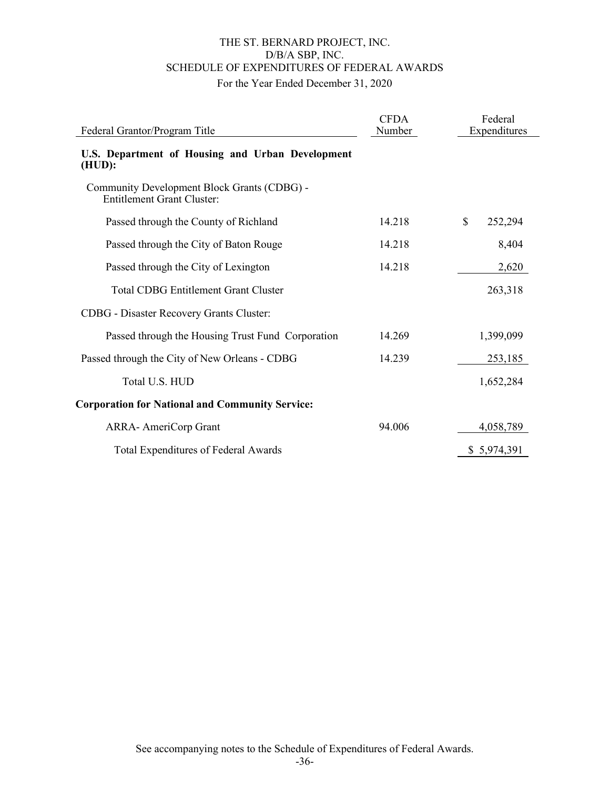# THE ST. BERNARD PROJECT, INC. D/B/A SBP, INC. SCHEDULE OF EXPENDITURES OF FEDERAL AWARDS

| Federal Grantor/Program Title                                                    | <b>CFDA</b><br>Number | Federal<br>Expenditures |
|----------------------------------------------------------------------------------|-----------------------|-------------------------|
| U.S. Department of Housing and Urban Development<br>(HUD):                       |                       |                         |
| Community Development Block Grants (CDBG) -<br><b>Entitlement Grant Cluster:</b> |                       |                         |
| Passed through the County of Richland                                            | 14.218                | \$<br>252,294           |
| Passed through the City of Baton Rouge                                           | 14.218                | 8,404                   |
| Passed through the City of Lexington                                             | 14.218                | 2,620                   |
| <b>Total CDBG Entitlement Grant Cluster</b>                                      |                       | 263,318                 |
| CDBG - Disaster Recovery Grants Cluster:                                         |                       |                         |
| Passed through the Housing Trust Fund Corporation                                | 14.269                | 1,399,099               |
| Passed through the City of New Orleans - CDBG                                    | 14.239                | 253,185                 |
| Total U.S. HUD                                                                   |                       | 1,652,284               |
| <b>Corporation for National and Community Service:</b>                           |                       |                         |
| <b>ARRA-AmeriCorp Grant</b>                                                      | 94.006                | 4,058,789               |
| Total Expenditures of Federal Awards                                             |                       | \$ 5,974,391            |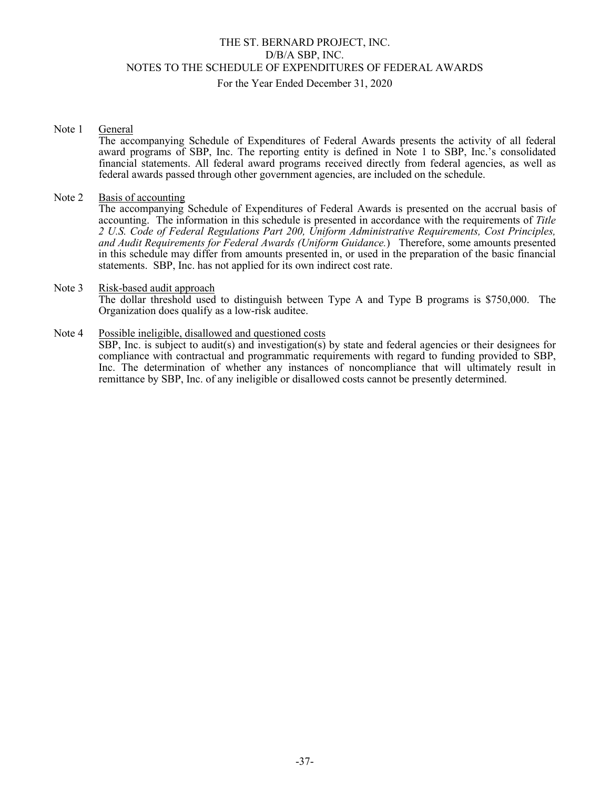# THE ST. BERNARD PROJECT, INC. D/B/A SBP, INC. NOTES TO THE SCHEDULE OF EXPENDITURES OF FEDERAL AWARDS

#### For the Year Ended December 31, 2020

#### Note 1 General

The accompanying Schedule of Expenditures of Federal Awards presents the activity of all federal award programs of SBP, Inc. The reporting entity is defined in Note 1 to SBP, Inc.'s consolidated financial statements. All federal award programs received directly from federal agencies, as well as federal awards passed through other government agencies, are included on the schedule.

#### Note 2 Basis of accounting

The accompanying Schedule of Expenditures of Federal Awards is presented on the accrual basis of accounting. The information in this schedule is presented in accordance with the requirements of *Title 2 U.S. Code of Federal Regulations Part 200, Uniform Administrative Requirements, Cost Principles, and Audit Requirements for Federal Awards (Uniform Guidance.*) Therefore, some amounts presented in this schedule may differ from amounts presented in, or used in the preparation of the basic financial statements. SBP, Inc. has not applied for its own indirect cost rate.

#### Note 3 Risk-based audit approach

The dollar threshold used to distinguish between Type A and Type B programs is \$750,000. The Organization does qualify as a low-risk auditee.

#### Note 4 Possible ineligible, disallowed and questioned costs

SBP, Inc. is subject to audit(s) and investigation(s) by state and federal agencies or their designees for compliance with contractual and programmatic requirements with regard to funding provided to SBP, Inc. The determination of whether any instances of noncompliance that will ultimately result in remittance by SBP, Inc. of any ineligible or disallowed costs cannot be presently determined.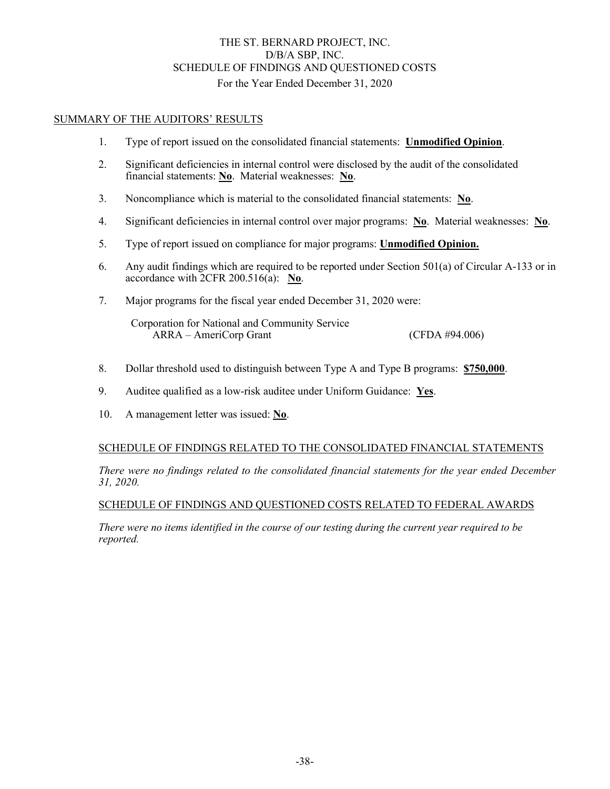# THE ST. BERNARD PROJECT, INC. D/B/A SBP, INC. SCHEDULE OF FINDINGS AND QUESTIONED COSTS For the Year Ended December 31, 2020

# SUMMARY OF THE AUDITORS' RESULTS

- 1. Type of report issued on the consolidated financial statements: **Unmodified Opinion**.
- 2. Significant deficiencies in internal control were disclosed by the audit of the consolidated financial statements: **No**. Material weaknesses: **No**.
- 3. Noncompliance which is material to the consolidated financial statements: **No**.
- 4. Significant deficiencies in internal control over major programs: **No**. Material weaknesses: **No**.
- 5. Type of report issued on compliance for major programs: **Unmodified Opinion.**
- 6. Any audit findings which are required to be reported under Section 501(a) of Circular A-133 or in accordance with 2CFR 200.516(a): **No**.
- 7. Major programs for the fiscal year ended December 31, 2020 were:

 Corporation for National and Community Service ARRA – AmeriCorp Grant (CFDA #94.006)

- 8. Dollar threshold used to distinguish between Type A and Type B programs: **\$750,000**.
- 9. Auditee qualified as a low-risk auditee under Uniform Guidance: **Yes**.
- 10. A management letter was issued: **No**.

#### SCHEDULE OF FINDINGS RELATED TO THE CONSOLIDATED FINANCIAL STATEMENTS

*There were no findings related to the consolidated financial statements for the year ended December 31, 2020.*

#### SCHEDULE OF FINDINGS AND QUESTIONED COSTS RELATED TO FEDERAL AWARDS

*There were no items identified in the course of our testing during the current year required to be reported.*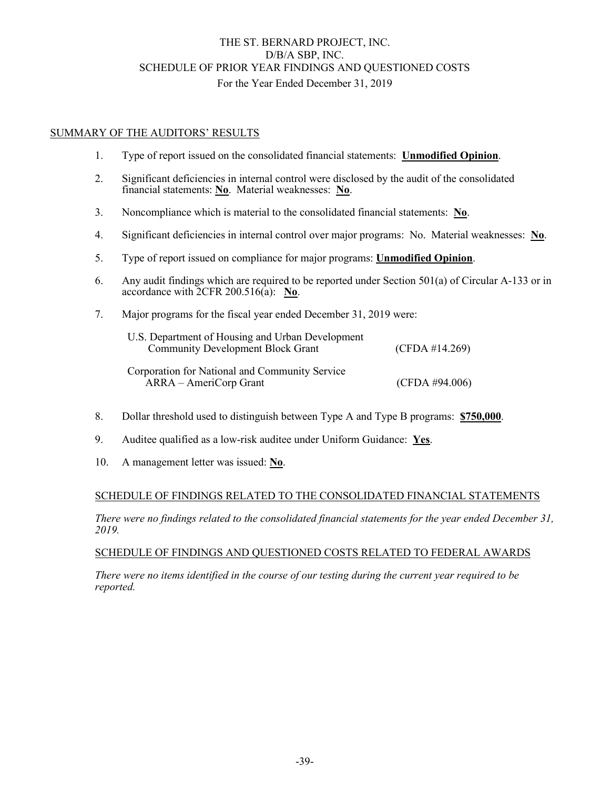# THE ST. BERNARD PROJECT, INC. D/B/A SBP, INC. SCHEDULE OF PRIOR YEAR FINDINGS AND QUESTIONED COSTS For the Year Ended December 31, 2019

# SUMMARY OF THE AUDITORS' RESULTS

- 1. Type of report issued on the consolidated financial statements: **Unmodified Opinion**.
- 2. Significant deficiencies in internal control were disclosed by the audit of the consolidated financial statements: **No**. Material weaknesses: **No**.
- 3. Noncompliance which is material to the consolidated financial statements: **No**.
- 4. Significant deficiencies in internal control over major programs: No. Material weaknesses: **No**.
- 5. Type of report issued on compliance for major programs: **Unmodified Opinion**.
- 6. Any audit findings which are required to be reported under Section 501(a) of Circular A-133 or in accordance with 2CFR 200.516(a): **No**.
- 7. Major programs for the fiscal year ended December 31, 2019 were:

| U.S. Department of Housing and Urban Development<br><b>Community Development Block Grant</b> | (CFDA #14.269) |
|----------------------------------------------------------------------------------------------|----------------|
| Corporation for National and Community Service<br>ARRA - AmeriCorp Grant                     | (CFDA #94.006) |

- 8. Dollar threshold used to distinguish between Type A and Type B programs: **\$750,000**.
- 9. Auditee qualified as a low-risk auditee under Uniform Guidance: **Yes**.
- 10. A management letter was issued: **No**.

#### SCHEDULE OF FINDINGS RELATED TO THE CONSOLIDATED FINANCIAL STATEMENTS

*There were no findings related to the consolidated financial statements for the year ended December 31, 2019.*

#### SCHEDULE OF FINDINGS AND QUESTIONED COSTS RELATED TO FEDERAL AWARDS

*There were no items identified in the course of our testing during the current year required to be reported.*